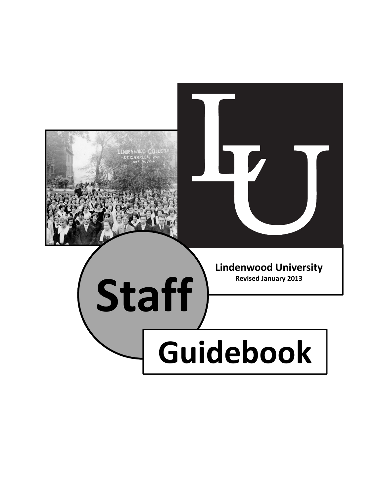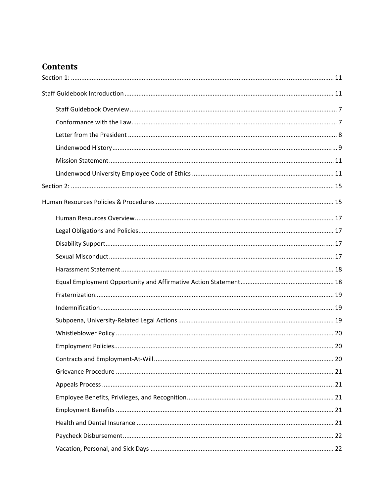## **Contents**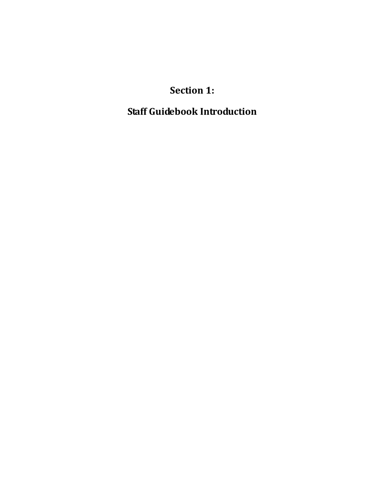**Section 1:**

**Staff Guidebook Introduction**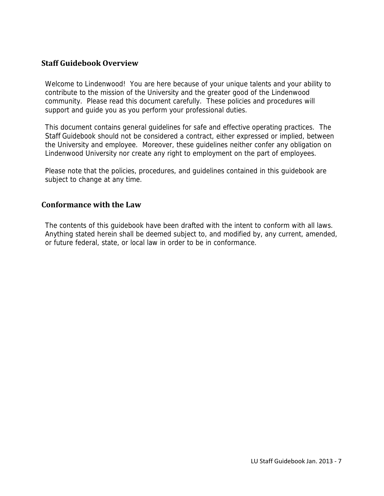## **Staff Guidebook Overview**

Welcome to Lindenwood! You are here because of your unique talents and your ability to contribute to the mission of the University and the greater good of the Lindenwood community. Please read this document carefully. These policies and procedures will support and guide you as you perform your professional duties.

This document contains general guidelines for safe and effective operating practices. The Staff Guidebook should not be considered a contract, either expressed or implied, between the University and employee. Moreover, these guidelines neither confer any obligation on Lindenwood University nor create any right to employment on the part of employees.

Please note that the policies, procedures, and guidelines contained in this guidebook are subject to change at any time.

#### **Conformance with the Law**

The contents of this guidebook have been drafted with the intent to conform with all laws. Anything stated herein shall be deemed subject to, and modified by, any current, amended, or future federal, state, or local law in order to be in conformance.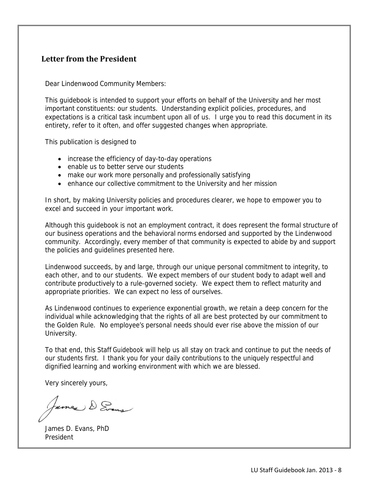## **Letter from the President**

Dear Lindenwood Community Members:

This guidebook is intended to support your efforts on behalf of the University and her most important constituents: our students. Understanding explicit policies, procedures, and expectations is a critical task incumbent upon all of us. I urge you to read this document in its entirety, refer to it often, and offer suggested changes when appropriate.

This publication is designed to

- increase the efficiency of day-to-day operations
- enable us to better serve our students
- make our work more personally and professionally satisfying
- enhance our collective commitment to the University and her mission

In short, by making University policies and procedures clearer, we hope to empower you to excel and succeed in your important work.

Although this guidebook is not an employment contract, it does represent the formal structure of our business operations and the behavioral norms endorsed and supported by the Lindenwood community. Accordingly, every member of that community is expected to abide by and support the policies and guidelines presented here.

Lindenwood succeeds, by and large, through our unique personal commitment to integrity, to each other, and to our students. We expect members of our student body to adapt well and contribute productively to a rule-governed society. We expect them to reflect maturity and appropriate priorities. We can expect no less of ourselves.

As Lindenwood continues to experience exponential growth, we retain a deep concern for the individual while acknowledging that the rights of all are best protected by our commitment to the Golden Rule. No employee's personal needs should ever rise above the mission of our University.

To that end, this Staff Guidebook will help us all stay on track and continue to put the needs of our students first. I thank you for your daily contributions to the uniquely respectful and dignified learning and working environment with which we are blessed.

Very sincerely yours,

ames DEvans

James D. Evans, PhD President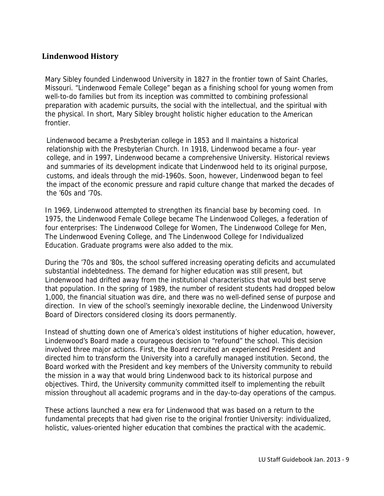## **Lindenwood History**

Mary Sibley founded Lindenwood University in 1827 in the frontier town of Saint Charles, Missouri. "Lindenwood Female College" began as a finishing school for young women from well-to-do families but from its inception was committed to combining professional preparation with academic pursuits, the social with the intellectual, and the spiritual with the physical. In short, Mary Sibley brought holistic higher education to the American frontier.

Lindenwood became a Presbyterian college in 1853 and ll maintains a historical relationship with the Presbyterian Church. In 1918, Lindenwood became a four- year college, and in 1997, Lindenwood became a comprehensive University. Historical reviews and summaries of its development indicate that Lindenwood held to its original purpose, customs, and ideals through the mid-1960s. Soon, however, Lindenwood began to feel the impact of the economic pressure and rapid culture change that marked the decades of the '60s and '70s.

In 1969, Lindenwood attempted to strengthen its financial base by becoming coed. In 1975, the Lindenwood Female College became The Lindenwood Colleges, a federation of four enterprises: The Lindenwood College for Women, The Lindenwood College for Men, The Lindenwood Evening College, and The Lindenwood College for Individualized Education. Graduate programs were also added to the mix.

During the '70s and '80s, the school suffered increasing operating deficits and accumulated substantial indebtedness. The demand for higher education was still present, but Lindenwood had drifted away from the institutional characteristics that would best serve that population. In the spring of 1989, the number of resident students had dropped below 1,000, the financial situation was dire, and there was no well-defined sense of purpose and direction. In view of the school's seemingly inexorable decline, the Lindenwood University Board of Directors considered closing its doors permanently.

Instead of shutting down one of America's oldest institutions of higher education, however, Lindenwood's Board made a courageous decision to "refound" the school. This decision involved three major actions. First, the Board recruited an experienced President and directed him to transform the University into a carefully managed institution. Second, the Board worked with the President and key members of the University community to rebuild the mission in a way that would bring Lindenwood back to its historical purpose and objectives. Third, the University community committed itself to implementing the rebuilt mission throughout all academic programs and in the day-to-day operations of the campus.

These actions launched a new era for Lindenwood that was based on a return to the fundamental precepts that had given rise to the original frontier University: individualized, holistic, values-oriented higher education that combines the practical with the academic.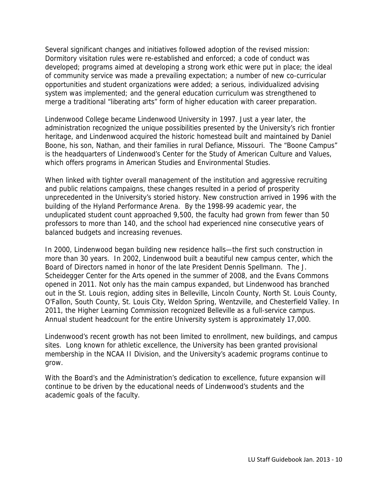Several significant changes and initiatives followed adoption of the revised mission: Dormitory visitation rules were re-established and enforced; a code of conduct was developed; programs aimed at developing a strong work ethic were put in place; the ideal of community service was made a prevailing expectation; a number of new co-curricular opportunities and student organizations were added; a serious, individualized advising system was implemented; and the general education curriculum was strengthened to merge a traditional "liberating arts" form of higher education with career preparation.

Lindenwood College became Lindenwood University in 1997. Just a year later, the administration recognized the unique possibilities presented by the University's rich frontier heritage, and Lindenwood acquired the historic homestead built and maintained by Daniel Boone, his son, Nathan, and their families in rural Defiance, Missouri. The "Boone Campus" is the headquarters of Lindenwood's Center for the Study of American Culture and Values, which offers programs in American Studies and Environmental Studies.

When linked with tighter overall management of the institution and aggressive recruiting and public relations campaigns, these changes resulted in a period of prosperity unprecedented in the University's storied history. New construction arrived in 1996 with the building of the Hyland Performance Arena. By the 1998-99 academic year, the unduplicated student count approached 9,500, the faculty had grown from fewer than 50 professors to more than 140, and the school had experienced nine consecutive years of balanced budgets and increasing revenues.

In 2000, Lindenwood began building new residence halls—the first such construction in more than 30 years. In 2002, Lindenwood built a beautiful new campus center, which the Board of Directors named in honor of the late President Dennis Spellmann. The J. Scheidegger Center for the Arts opened in the summer of 2008, and the Evans Commons opened in 2011. Not only has the main campus expanded, but Lindenwood has branched out in the St. Louis region, adding sites in Belleville, Lincoln County, North St. Louis County, O'Fallon, South County, St. Louis City, Weldon Spring, Wentzville, and Chesterfield Valley. In 2011, the Higher Learning Commission recognized Belleville as a full-service campus. Annual student headcount for the entire University system is approximately 17,000.

Lindenwood's recent growth has not been limited to enrollment, new buildings, and campus sites. Long known for athletic excellence, the University has been granted provisional membership in the NCAA II Division, and the University's academic programs continue to grow.

With the Board's and the Administration's dedication to excellence, future expansion will continue to be driven by the educational needs of Lindenwood's students and the academic goals of the faculty.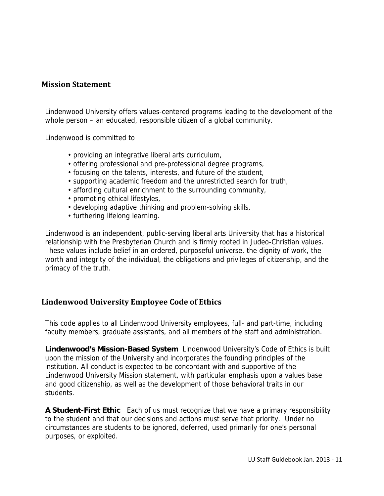#### **Mission Statement**

Lindenwood University offers values-centered programs leading to the development of the whole person – an educated, responsible citizen of a global community.

Lindenwood is committed to

- providing an integrative liberal arts curriculum,
- offering professional and pre-professional degree programs,
- focusing on the talents, interests, and future of the student,
- supporting academic freedom and the unrestricted search for truth,
- affording cultural enrichment to the surrounding community,
- promoting ethical lifestyles,
- developing adaptive thinking and problem-solving skills,
- furthering lifelong learning.

Lindenwood is an independent, public-serving liberal arts University that has a historical relationship with the Presbyterian Church and is firmly rooted in Judeo-Christian values. These values include belief in an ordered, purposeful universe, the dignity of work, the worth and integrity of the individual, the obligations and privileges of citizenship, and the primacy of the truth.

## **Lindenwood University Employee Code of Ethics**

This code applies to all Lindenwood University employees, full- and part-time, including faculty members, graduate assistants, and all members of the staff and administration.

**Lindenwood's Mission-Based System** Lindenwood University's Code of Ethics is built upon the mission of the University and incorporates the founding principles of the institution. All conduct is expected to be concordant with and supportive of the Lindenwood University Mission statement, with particular emphasis upon a values base and good citizenship, as well as the development of those behavioral traits in our students.

**A Student-First Ethic** Each of us must recognize that we have a primary responsibility to the student and that our decisions and actions must serve that priority. Under no circumstances are students to be ignored, deferred, used primarily for one's personal purposes, or exploited.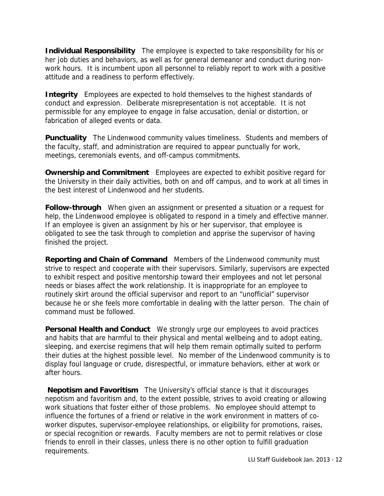**Individual Responsibility** The employee is expected to take responsibility for his or her job duties and behaviors, as well as for general demeanor and conduct during nonwork hours. It is incumbent upon all personnel to reliably report to work with a positive attitude and a readiness to perform effectively.

**Integrity** Employees are expected to hold themselves to the highest standards of conduct and expression. Deliberate misrepresentation is not acceptable. It is not permissible for any employee to engage in false accusation, denial or distortion, or fabrication of alleged events or data.

**Punctuality** The Lindenwood community values timeliness. Students and members of the faculty, staff, and administration are required to appear punctually for work, meetings, ceremonials events, and off-campus commitments.

**Ownership and Commitment** Employees are expected to exhibit positive regard for the University in their daily activities, both on and off campus, and to work at all times in the best interest of Lindenwood and her students.

**Follow-through** When given an assignment or presented a situation or a request for help, the Lindenwood employee is obligated to respond in a timely and effective manner. If an employee is given an assignment by his or her supervisor, that employee is obligated to see the task through to completion and apprise the supervisor of having finished the project.

**Reporting and Chain of Command** Members of the Lindenwood community must strive to respect and cooperate with their supervisors. Similarly, supervisors are expected to exhibit respect and positive mentorship toward their employees and not let personal needs or biases affect the work relationship. It is inappropriate for an employee to routinely skirt around the official supervisor and report to an "unofficial" supervisor because he or she feels more comfortable in dealing with the latter person. The chain of command must be followed.

**Personal Health and Conduct** We strongly urge our employees to avoid practices and habits that are harmful to their physical and mental wellbeing and to adopt eating, sleeping, and exercise regimens that will help them remain optimally suited to perform their duties at the highest possible level. No member of the Lindenwood community is to display foul language or crude, disrespectful, or immature behaviors, either at work or after hours.

**Nepotism and Favoritism** The University's official stance is that it discourages nepotism and favoritism and, to the extent possible, strives to avoid creating or allowing work situations that foster either of those problems. No employee should attempt to influence the fortunes of a friend or relative in the work environment in matters of coworker disputes, supervisor-employee relationships, or eligibility for promotions, raises, or special recognition or rewards. Faculty members are not to permit relatives or close friends to enroll in their classes, unless there is no other option to fulfill graduation requirements.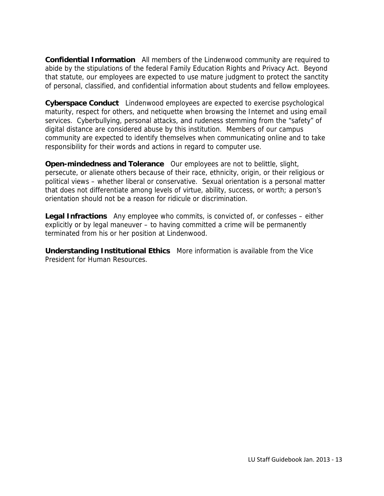**Confidential Information** All members of the Lindenwood community are required to abide by the stipulations of the federal Family Education Rights and Privacy Act. Beyond that statute, our employees are expected to use mature judgment to protect the sanctity of personal, classified, and confidential information about students and fellow employees.

**Cyberspace Conduct** Lindenwood employees are expected to exercise psychological maturity, respect for others, and netiquette when browsing the Internet and using email services. Cyberbullying, personal attacks, and rudeness stemming from the "safety" of digital distance are considered abuse by this institution. Members of our campus community are expected to identify themselves when communicating online and to take responsibility for their words and actions in regard to computer use.

**Open-mindedness and Tolerance** Our employees are not to belittle, slight, persecute, or alienate others because of their race, ethnicity, origin, or their religious or political views – whether liberal or conservative. Sexual orientation is a personal matter that does not differentiate among levels of virtue, ability, success, or worth; a person's orientation should not be a reason for ridicule or discrimination.

**Legal Infractions** Any employee who commits, is convicted of, or confesses – either explicitly or by legal maneuver – to having committed a crime will be permanently terminated from his or her position at Lindenwood.

**Understanding Institutional Ethics** More information is available from the Vice President for Human Resources.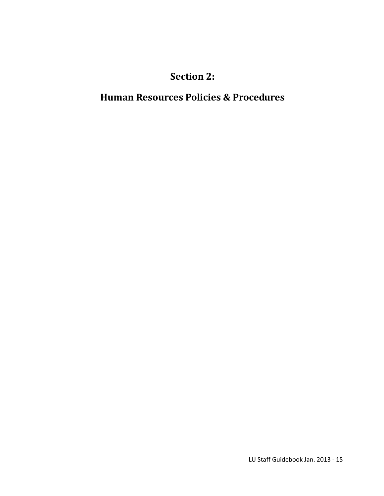**Section 2:**

**Human Resources Policies & Procedures**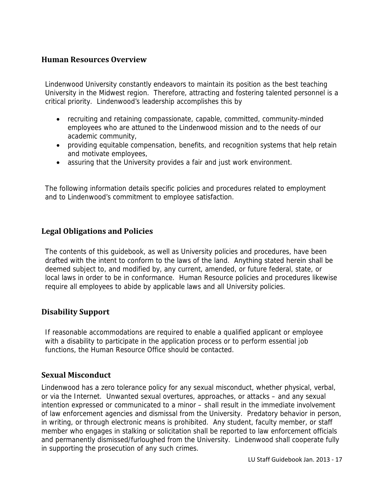## **Human Resources Overview**

Lindenwood University constantly endeavors to maintain its position as the best teaching University in the Midwest region. Therefore, attracting and fostering talented personnel is a critical priority. Lindenwood's leadership accomplishes this by

- recruiting and retaining compassionate, capable, committed, community-minded employees who are attuned to the Lindenwood mission and to the needs of our academic community,
- providing equitable compensation, benefits, and recognition systems that help retain and motivate employees,
- assuring that the University provides a fair and just work environment.

The following information details specific policies and procedures related to employment and to Lindenwood's commitment to employee satisfaction.

## **Legal Obligations and Policies**

The contents of this guidebook, as well as University policies and procedures, have been drafted with the intent to conform to the laws of the land. Anything stated herein shall be deemed subject to, and modified by, any current, amended, or future federal, state, or local laws in order to be in conformance. Human Resource policies and procedures likewise require all employees to abide by applicable laws and all University policies.

## **Disability Support**

If reasonable accommodations are required to enable a qualified applicant or employee with a disability to participate in the application process or to perform essential job functions, the Human Resource Office should be contacted.

## **Sexual Misconduct**

Lindenwood has a zero tolerance policy for any sexual misconduct, whether physical, verbal, or via the Internet. Unwanted sexual overtures, approaches, or attacks – and any sexual intention expressed or communicated to a minor – shall result in the immediate involvement of law enforcement agencies and dismissal from the University. Predatory behavior in person, in writing, or through electronic means is prohibited. Any student, faculty member, or staff member who engages in stalking or solicitation shall be reported to law enforcement officials and permanently dismissed/furloughed from the University. Lindenwood shall cooperate fully in supporting the prosecution of any such crimes.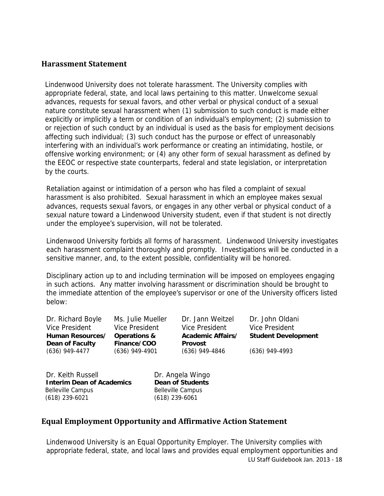#### **Harassment Statement**

Lindenwood University does not tolerate harassment. The University complies with appropriate federal, state, and local laws pertaining to this matter. Unwelcome sexual advances, requests for sexual favors, and other verbal or physical conduct of a sexual nature constitute sexual harassment when (1) submission to such conduct is made either explicitly or implicitly a term or condition of an individual's employment; (2) submission to or rejection of such conduct by an individual is used as the basis for employment decisions affecting such individual; (3) such conduct has the purpose or effect of unreasonably interfering with an individual's work performance or creating an intimidating, hostile, or offensive working environment; or (4) any other form of sexual harassment as defined by the EEOC or respective state counterparts, federal and state legislation, or interpretation by the courts.

Retaliation against or intimidation of a person who has filed a complaint of sexual harassment is also prohibited. Sexual harassment in which an employee makes sexual advances, requests sexual favors, or engages in any other verbal or physical conduct of a sexual nature toward a Lindenwood University student, even if that student is not directly under the employee's supervision, will not be tolerated.

Lindenwood University forbids all forms of harassment. Lindenwood University investigates each harassment complaint thoroughly and promptly. Investigations will be conducted in a sensitive manner, and, to the extent possible, confidentiality will be honored.

Disciplinary action up to and including termination will be imposed on employees engaging in such actions. Any matter involving harassment or discrimination should be brought to the immediate attention of the employee's supervisor or one of the University officers listed below:

Dr. Richard Boyle Ms. Julie Mueller Dr. Jann Weitzel Dr. John Oldani Vice President **Human Resources/ Operations & Dean of Faculty** (636) 949-4477

Vice President **Finance/COO** (636) 949-4901

Vice President **Academic Affairs/ Provost** (636) 949-4846

Vice President **Student Development**

(636) 949-4993

Dr. Keith Russell **Dr. Angela Wingo**<br> **Interim Dean of Academics Dean of Students Interim Dean of Academics** Belleville Campus **Belleville** Campus (618) 239-6021 (618) 239-6061

## **Equal Employment Opportunity and Affirmative Action Statement**

LU Staff Guidebook Jan. 2013 ‐ 18 Lindenwood University is an Equal Opportunity Employer. The University complies with appropriate federal, state, and local laws and provides equal employment opportunities and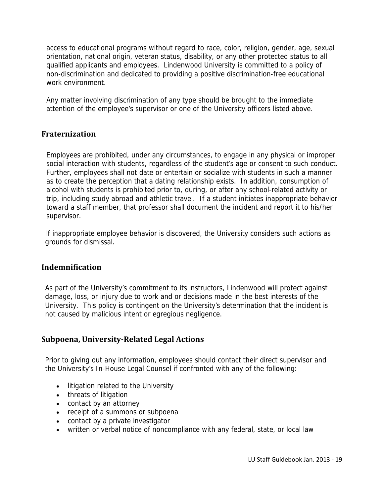access to educational programs without regard to race, color, religion, gender, age, sexual orientation, national origin, veteran status, disability, or any other protected status to all qualified applicants and employees. Lindenwood University is committed to a policy of non-discrimination and dedicated to providing a positive discrimination-free educational work environment.

Any matter involving discrimination of any type should be brought to the immediate attention of the employee's supervisor or one of the University officers listed above.

## **Fraternization**

Employees are prohibited, under any circumstances, to engage in any physical or improper social interaction with students, regardless of the student's age or consent to such conduct. Further, employees shall not date or entertain or socialize with students in such a manner as to create the perception that a dating relationship exists. In addition, consumption of alcohol with students is prohibited prior to, during, or after any school-related activity or trip, including study abroad and athletic travel. If a student initiates inappropriate behavior toward a staff member, that professor shall document the incident and report it to his/her supervisor.

If inappropriate employee behavior is discovered, the University considers such actions as grounds for dismissal.

#### **Indemnification**

As part of the University's commitment to its instructors, Lindenwood will protect against damage, loss, or injury due to work and or decisions made in the best interests of the University. This policy is contingent on the University's determination that the incident is not caused by malicious intent or egregious negligence.

## **Subpoena, University‐Related Legal Actions**

Prior to giving out any information, employees should contact their direct supervisor and the University's In-House Legal Counsel if confronted with any of the following:

- litigation related to the University
- threats of litigation
- contact by an attorney
- receipt of a summons or subpoena
- contact by a private investigator
- written or verbal notice of noncompliance with any federal, state, or local law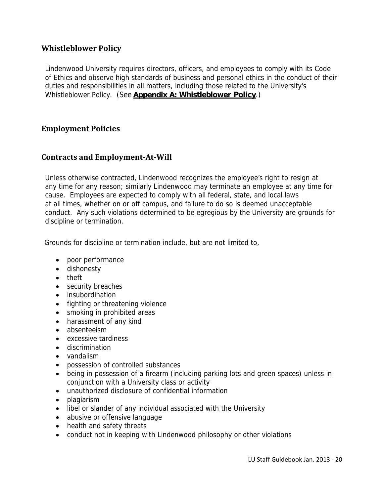## **Whistleblower Policy**

Lindenwood University requires directors, officers, and employees to comply with its Code of Ethics and observe high standards of business and personal ethics in the conduct of their duties and responsibilities in all matters, including those related to the University's Whistleblower Policy. (See **Appendix A: Whistleblower Policy**.)

## **Employment Policies**

## **Contracts and Employment‐At‐Will**

Unless otherwise contracted, Lindenwood recognizes the employee's right to resign at any time for any reason; similarly Lindenwood may terminate an employee at any time for cause. Employees are expected to comply with all federal, state, and local laws at all times, whether on or off campus, and failure to do so is deemed unacceptable conduct. Any such violations determined to be egregious by the University are grounds for discipline or termination.

Grounds for discipline or termination include, but are not limited to,

- poor performance
- dishonesty
- theft
- security breaches
- insubordination
- fighting or threatening violence
- smoking in prohibited areas
- harassment of any kind
- absenteeism
- excessive tardiness
- discrimination
- vandalism
- possession of controlled substances
- being in possession of a firearm (including parking lots and green spaces) unless in conjunction with a University class or activity
- unauthorized disclosure of confidential information
- plagiarism
- libel or slander of any individual associated with the University
- abusive or offensive language
- health and safety threats
- conduct not in keeping with Lindenwood philosophy or other violations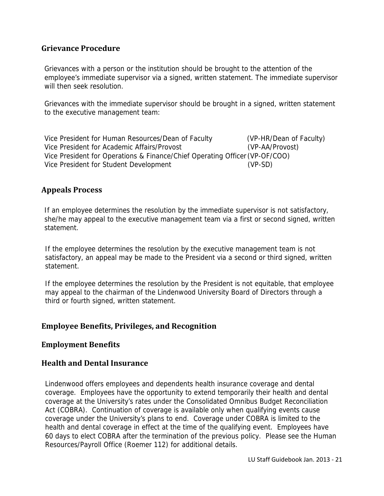## **Grievance Procedure**

Grievances with a person or the institution should be brought to the attention of the employee's immediate supervisor via a signed, written statement. The immediate supervisor will then seek resolution.

Grievances with the immediate supervisor should be brought in a signed, written statement to the executive management team:

Vice President for Human Resources/Dean of Faculty (VP-HR/Dean of Faculty) Vice President for Academic Affairs/Provost (VP-AA/Provost) Vice President for Operations & Finance/Chief Operating Officer (VP-OF/COO) Vice President for Student Development (VP-SD)

#### **Appeals Process**

If an employee determines the resolution by the immediate supervisor is not satisfactory, she/he may appeal to the executive management team via a first or second signed, written statement.

If the employee determines the resolution by the executive management team is not satisfactory, an appeal may be made to the President via a second or third signed, written statement.

If the employee determines the resolution by the President is not equitable, that employee may appeal to the chairman of the Lindenwood University Board of Directors through a third or fourth signed, written statement.

#### **Employee Benefits, Privileges, and Recognition**

#### **Employment Benefits**

#### **Health and Dental Insurance**

Lindenwood offers employees and dependents health insurance coverage and dental coverage. Employees have the opportunity to extend temporarily their health and dental coverage at the University's rates under the Consolidated Omnibus Budget Reconciliation Act (COBRA). Continuation of coverage is available only when qualifying events cause coverage under the University's plans to end. Coverage under COBRA is limited to the health and dental coverage in effect at the time of the qualifying event. Employees have 60 days to elect COBRA after the termination of the previous policy. Please see the Human Resources/Payroll Office (Roemer 112) for additional details.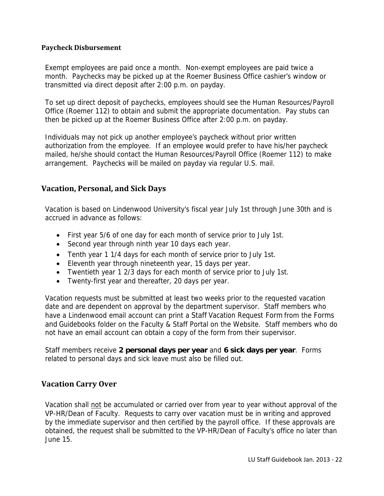#### **Paycheck Disbursement**

Exempt employees are paid once a month. Non-exempt employees are paid twice a month. Paychecks may be picked up at the Roemer Business Office cashier's window or transmitted via direct deposit after 2:00 p.m. on payday.

To set up direct deposit of paychecks, employees should see the Human Resources/Payroll Office (Roemer 112) to obtain and submit the appropriate documentation. Pay stubs can then be picked up at the Roemer Business Office after 2:00 p.m. on payday.

Individuals may not pick up another employee's paycheck without prior written authorization from the employee. If an employee would prefer to have his/her paycheck mailed, he/she should contact the Human Resources/Payroll Office (Roemer 112) to make arrangement. Paychecks will be mailed on payday via regular U.S. mail.

#### **Vacation, Personal, and Sick Days**

Vacation is based on Lindenwood University's fiscal year July 1st through June 30th and is accrued in advance as follows:

- First year 5/6 of one day for each month of service prior to July 1st.
- Second year through ninth year 10 days each year.
- Tenth year 1 1/4 days for each month of service prior to July 1st.
- Eleventh year through nineteenth year, 15 days per year.
- Twentieth year 1 2/3 days for each month of service prior to July 1st.
- Twenty-first year and thereafter, 20 days per year.

Vacation requests must be submitted at least two weeks prior to the requested vacation date and are dependent on approval by the department supervisor. Staff members who have a Lindenwood email account can print a Staff Vacation Request Form from the Forms and Guidebooks folder on the Faculty & Staff Portal on the Website. Staff members who do not have an email account can obtain a copy of the form from their supervisor.

Staff members receive **2 personal days per year** and **6 sick days per year**. Forms related to personal days and sick leave must also be filled out.

#### **Vacation Carry Over**

Vacation shall not be accumulated or carried over from year to year without approval of the VP-HR/Dean of Faculty. Requests to carry over vacation must be in writing and approved by the immediate supervisor and then certified by the payroll office. If these approvals are obtained, the request shall be submitted to the VP-HR/Dean of Faculty's office no later than June 15.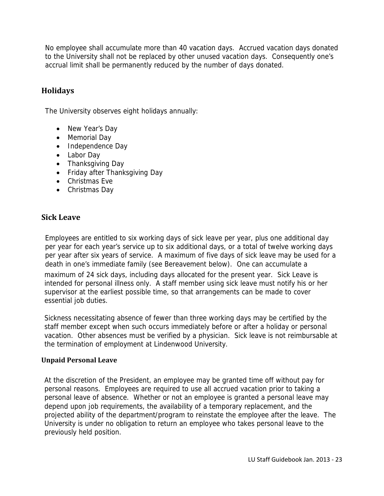No employee shall accumulate more than 40 vacation days. Accrued vacation days donated to the University shall not be replaced by other unused vacation days. Consequently one's accrual limit shall be permanently reduced by the number of days donated.

## **Holidays**

The University observes eight holidays annually:

- New Year's Day
- Memorial Day
- Independence Day
- Labor Day
- Thanksgiving Day
- Friday after Thanksgiving Day
- Christmas Eve
- Christmas Day

#### **Sick Leave**

Employees are entitled to six working days of sick leave per year, plus one additional day per year for each year's service up to six additional days, or a total of twelve working days per year after six years of service. A maximum of five days of sick leave may be used for a death in one's immediate family (see Bereavement below). One can accumulate a maximum of 24 sick days, including days allocated for the present year. Sick Leave is intended for personal illness only. A staff member using sick leave must notify his or her supervisor at the earliest possible time, so that arrangements can be made to cover essential job duties.

Sickness necessitating absence of fewer than three working days may be certified by the staff member except when such occurs immediately before or after a holiday or personal vacation. Other absences must be verified by a physician. Sick leave is not reimbursable at the termination of employment at Lindenwood University.

#### **Unpaid Personal Leave**

At the discretion of the President, an employee may be granted time off without pay for personal reasons. Employees are required to use all accrued vacation prior to taking a personal leave of absence. Whether or not an employee is granted a personal leave may depend upon job requirements, the availability of a temporary replacement, and the projected ability of the department/program to reinstate the employee after the leave. The University is under no obligation to return an employee who takes personal leave to the previously held position.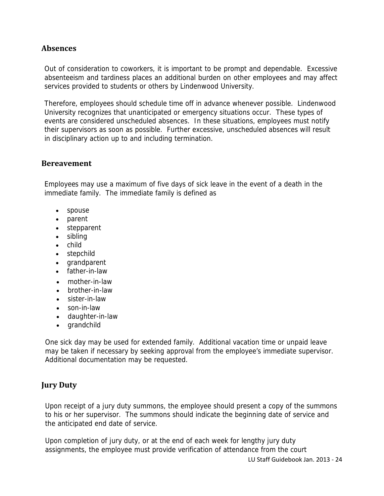## **Absences**

Out of consideration to coworkers, it is important to be prompt and dependable. Excessive absenteeism and tardiness places an additional burden on other employees and may affect services provided to students or others by Lindenwood University.

Therefore, employees should schedule time off in advance whenever possible. Lindenwood University recognizes that unanticipated or emergency situations occur. These types of events are considered unscheduled absences. In these situations, employees must notify their supervisors as soon as possible. Further excessive, unscheduled absences will result in disciplinary action up to and including termination.

#### **Bereavement**

Employees may use a maximum of five days of sick leave in the event of a death in the immediate family. The immediate family is defined as

- spouse
- parent
- stepparent
- sibling
- child
- stepchild
- grandparent
- father-in-law
- mother-in-law
- brother-in-law
- sister-in-law
- son-in-law
- daughter-in-law
- grandchild

One sick day may be used for extended family. Additional vacation time or unpaid leave may be taken if necessary by seeking approval from the employee's immediate supervisor. Additional documentation may be requested.

## **Jury Duty**

Upon receipt of a jury duty summons, the employee should present a copy of the summons to his or her supervisor. The summons should indicate the beginning date of service and the anticipated end date of service.

Upon completion of jury duty, or at the end of each week for lengthy jury duty assignments, the employee must provide verification of attendance from the court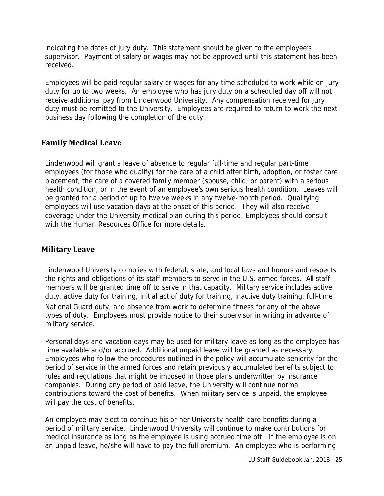indicating the dates of jury duty. This statement should be given to the employee's supervisor. Payment of salary or wages may not be approved until this statement has been received.

Employees will be paid regular salary or wages for any time scheduled to work while on jury duty for up to two weeks. An employee who has jury duty on a scheduled day off will not receive additional pay from Lindenwood University. Any compensation received for jury duty must be remitted to the University. Employees are required to return to work the next business day following the completion of the duty.

## **Family Medical Leave**

Lindenwood will grant a leave of absence to regular full-time and regular part-time employees (for those who qualify) for the care of a child after birth, adoption, or foster care placement, the care of a covered family member (spouse, child, or parent) with a serious health condition, or in the event of an employee's own serious health condition. Leaves will be granted for a period of up to twelve weeks in any twelve-month period. Qualifying employees will use vacation days at the onset of this period. They will also receive coverage under the University medical plan during this period. Employees should consult with the Human Resources Office for more details.

## **Military Leave**

Lindenwood University complies with federal, state, and local laws and honors and respects the rights and obligations of its staff members to serve in the U.S. armed forces. All staff members will be granted time off to serve in that capacity. Military service includes active duty, active duty for training, initial act of duty for training, inactive duty training, full-time National Guard duty, and absence from work to determine fitness for any of the above types of duty. Employees must provide notice to their supervisor in writing in advance of military service.

Personal days and vacation days may be used for military leave as long as the employee has time available and/or accrued. Additional unpaid leave will be granted as necessary. Employees who follow the procedures outlined in the policy will accumulate seniority for the period of service in the armed forces and retain previously accumulated benefits subject to rules and regulations that might be imposed in those plans underwritten by insurance companies. During any period of paid leave, the University will continue normal contributions toward the cost of benefits. When military service is unpaid, the employee will pay the cost of benefits.

An employee may elect to continue his or her University health care benefits during a period of military service. Lindenwood University will continue to make contributions for medical insurance as long as the employee is using accrued time off. If the employee is on an unpaid leave, he/she will have to pay the full premium. An employee who is performing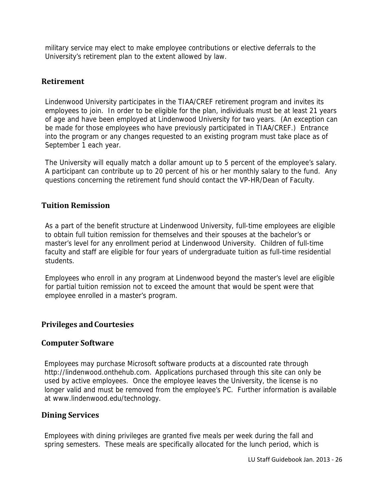military service may elect to make employee contributions or elective deferrals to the University's retirement plan to the extent allowed by law.

#### **Retirement**

Lindenwood University participates in the TIAA/CREF retirement program and invites its employees to join. In order to be eligible for the plan, individuals must be at least 21 years of age and have been employed at Lindenwood University for two years. (An exception can be made for those employees who have previously participated in TIAA/CREF.) Entrance into the program or any changes requested to an existing program must take place as of September 1 each year.

The University will equally match a dollar amount up to 5 percent of the employee's salary. A participant can contribute up to 20 percent of his or her monthly salary to the fund. Any questions concerning the retirement fund should contact the VP-HR/Dean of Faculty.

#### **Tuition Remission**

As a part of the benefit structure at Lindenwood University, full-time employees are eligible to obtain full tuition remission for themselves and their spouses at the bachelor's or master's level for any enrollment period at Lindenwood University. Children of full-time faculty and staff are eligible for four years of undergraduate tuition as full-time residential students.

Employees who enroll in any program at Lindenwood beyond the master's level are eligible for partial tuition remission not to exceed the amount that would be spent were that employee enrolled in a master's program.

#### **Privileges andCourtesies**

#### **Computer Software**

Employees may purchase Microsoft software products at a discounted rate through http://lindenwood.onthehub.com. Applications purchased through this site can only be used by active employees. Once the employee leaves the University, the license is no longer valid and must be removed from the employee's PC. Further information is available at www.lindenwood.edu/technology.

#### **Dining Services**

Employees with dining privileges are granted five meals per week during the fall and spring semesters. These meals are specifically allocated for the lunch period, which is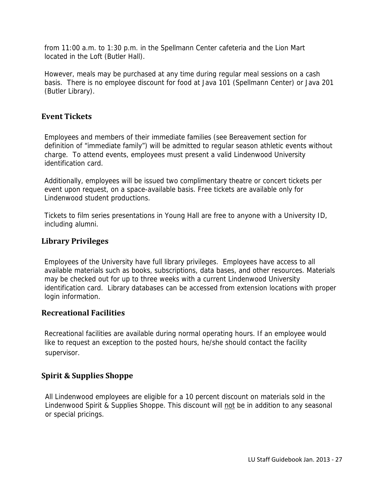from 11:00 a.m. to 1:30 p.m. in the Spellmann Center cafeteria and the Lion Mart located in the Loft (Butler Hall).

However, meals may be purchased at any time during regular meal sessions on a cash basis. There is no employee discount for food at Java 101 (Spellmann Center) or Java 201 (Butler Library).

#### **Event Tickets**

Employees and members of their immediate families (see Bereavement section for definition of "immediate family") will be admitted to regular season athletic events without charge. To attend events, employees must present a valid Lindenwood University identification card.

Additionally, employees will be issued two complimentary theatre or concert tickets per event upon request, on a space-available basis. Free tickets are available only for Lindenwood student productions.

Tickets to film series presentations in Young Hall are free to anyone with a University ID, including alumni.

#### **Library Privileges**

Employees of the University have full library privileges. Employees have access to all available materials such as books, subscriptions, data bases, and other resources. Materials may be checked out for up to three weeks with a current Lindenwood University identification card. Library databases can be accessed from extension locations with proper login information.

#### **Recreational Facilities**

Recreational facilities are available during normal operating hours. If an employee would like to request an exception to the posted hours, he/she should contact the facility supervisor.

#### **Spirit & Supplies Shoppe**

All Lindenwood employees are eligible for a 10 percent discount on materials sold in the Lindenwood Spirit & Supplies Shoppe. This discount will not be in addition to any seasonal or special pricings.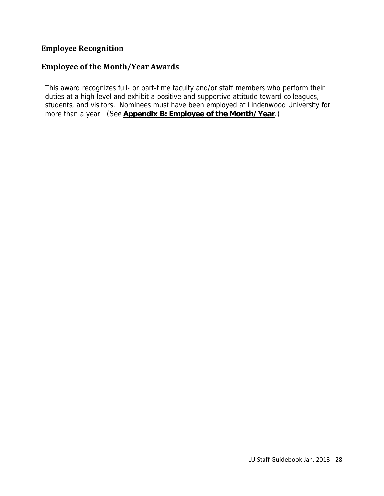## **Employee Recognition**

## **Employee of the Month/Year Awards**

This award recognizes full- or part-time faculty and/or staff members who perform their duties at a high level and exhibit a positive and supportive attitude toward colleagues, students, and visitors. Nominees must have been employed at Lindenwood University for more than a year. (See **Appendix B: Employee of the Month/Year**.)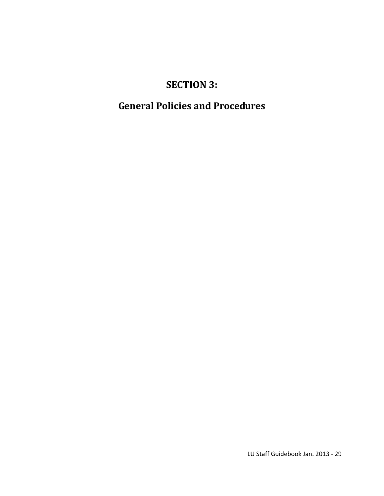# **SECTION 3:**

## **General Policies and Procedures**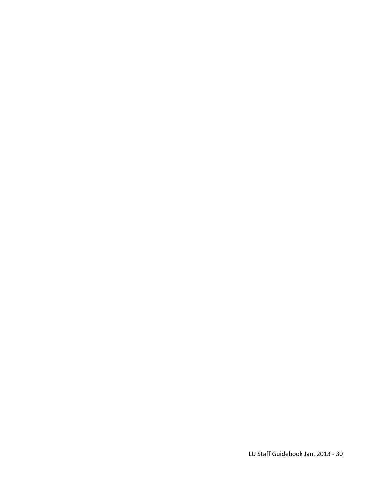LU Staff Guidebook Jan. 2013 ‐ 30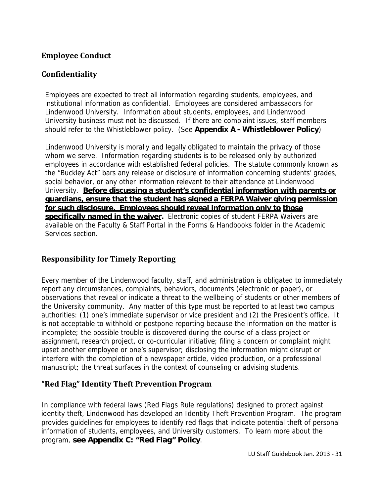## **Employee Conduct**

## **Confidentiality**

Employees are expected to treat all information regarding students, employees, and institutional information as confidential. Employees are considered ambassadors for Lindenwood University. Information about students, employees, and Lindenwood University business must not be discussed. If there are complaint issues, staff members should refer to the Whistleblower policy. (See **Appendix A - Whistleblower Policy**)

Lindenwood University is morally and legally obligated to maintain the privacy of those whom we serve. Information regarding students is to be released only by authorized employees in accordance with established federal policies. The statute commonly known as the "Buckley Act" bars any release or disclosure of information concerning students' grades, social behavior, or any other information relevant to their attendance at Lindenwood University. **Before discussing a student's confidential information with parents or guardians, ensure that the student has signed a FERPA Waiver giving permission for such disclosure. Employees should reveal information only to those specifically named in the waiver.** Electronic copies of student FERPA Waivers are available on the Faculty & Staff Portal in the Forms & Handbooks folder in the Academic Services section.

## **Responsibility for Timely Reporting**

Every member of the Lindenwood faculty, staff, and administration is obligated to immediately report any circumstances, complaints, behaviors, documents (electronic or paper), or observations that reveal or indicate a threat to the wellbeing of students or other members of the University community. Any matter of this type must be reported to at least two campus authorities: (1) one's immediate supervisor or vice president and (2) the President's office. It is not acceptable to withhold or postpone reporting because the information on the matter is incomplete; the possible trouble is discovered during the course of a class project or assignment, research project, or co-curricular initiative; filing a concern or complaint might upset another employee or one's supervisor; disclosing the information might disrupt or interfere with the completion of a newspaper article, video production, or a professional manuscript; the threat surfaces in the context of counseling or advising students.

## **"Red Flag" Identity Theft Prevention Program**

In compliance with federal laws (Red Flags Rule regulations) designed to protect against identity theft, Lindenwood has developed an Identity Theft Prevention Program. The program provides guidelines for employees to identify red flags that indicate potential theft of personal information of students, employees, and University customers. To learn more about the program, **see Appendix C: "Red Flag" Policy**.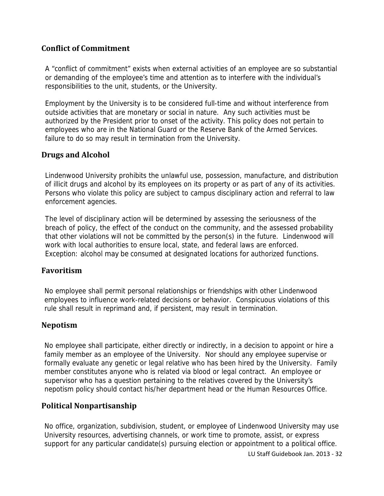## **Conflict of Commitment**

A "conflict of commitment" exists when external activities of an employee are so substantial or demanding of the employee's time and attention as to interfere with the individual's responsibilities to the unit, students, or the University.

Employment by the University is to be considered full-time and without interference from outside activities that are monetary or social in nature. Any such activities must be authorized by the President prior to onset of the activity. This policy does not pertain to employees who are in the National Guard or the Reserve Bank of the Armed Services. failure to do so may result in termination from the University.

## **Drugs and Alcohol**

Lindenwood University prohibits the unlawful use, possession, manufacture, and distribution of illicit drugs and alcohol by its employees on its property or as part of any of its activities. Persons who violate this policy are subject to campus disciplinary action and referral to law enforcement agencies.

The level of disciplinary action will be determined by assessing the seriousness of the breach of policy, the effect of the conduct on the community, and the assessed probability that other violations will not be committed by the person(s) in the future. Lindenwood will work with local authorities to ensure local, state, and federal laws are enforced. Exception: alcohol may be consumed at designated locations for authorized functions.

#### **Favoritism**

No employee shall permit personal relationships or friendships with other Lindenwood employees to influence work-related decisions or behavior. Conspicuous violations of this rule shall result in reprimand and, if persistent, may result in termination.

## **Nepotism**

No employee shall participate, either directly or indirectly, in a decision to appoint or hire a family member as an employee of the University. Nor should any employee supervise or formally evaluate any genetic or legal relative who has been hired by the University. Family member constitutes anyone who is related via blood or legal contract. An employee or supervisor who has a question pertaining to the relatives covered by the University's nepotism policy should contact his/her department head or the Human Resources Office.

## **Political Nonpartisanship**

No office, organization, subdivision, student, or employee of Lindenwood University may use University resources, advertising channels, or work time to promote, assist, or express support for any particular candidate(s) pursuing election or appointment to a political office.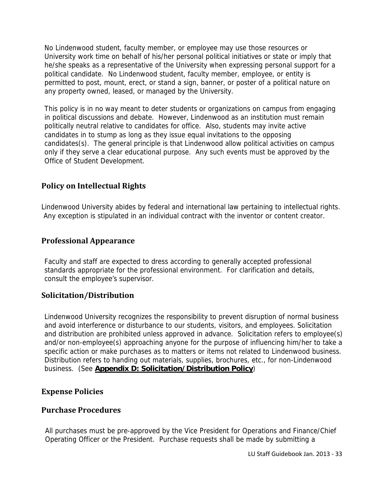No Lindenwood student, faculty member, or employee may use those resources or University work time on behalf of his/her personal political initiatives or state or imply that he/she speaks as a representative of the University when expressing personal support for a political candidate. No Lindenwood student, faculty member, employee, or entity is permitted to post, mount, erect, or stand a sign, banner, or poster of a political nature on any property owned, leased, or managed by the University.

This policy is in no way meant to deter students or organizations on campus from engaging in political discussions and debate. However, Lindenwood as an institution must remain politically neutral relative to candidates for office. Also, students may invite active candidates in to stump as long as they issue equal invitations to the opposing candidates(s). The general principle is that Lindenwood allow political activities on campus only if they serve a clear educational purpose. Any such events must be approved by the Office of Student Development.

## **Policy on Intellectual Rights**

Lindenwood University abides by federal and international law pertaining to intellectual rights. Any exception is stipulated in an individual contract with the inventor or content creator.

## **Professional Appearance**

Faculty and staff are expected to dress according to generally accepted professional standards appropriate for the professional environment. For clarification and details, consult the employee's supervisor.

## **Solicitation/Distribution**

Lindenwood University recognizes the responsibility to prevent disruption of normal business and avoid interference or disturbance to our students, visitors, and employees. Solicitation and distribution are prohibited unless approved in advance. Solicitation refers to employee(s) and/or non-employee(s) approaching anyone for the purpose of influencing him/her to take a specific action or make purchases as to matters or items not related to Lindenwood business. Distribution refers to handing out materials, supplies, brochures, etc., for non-Lindenwood business. (See **Appendix D: Solicitation/Distribution Policy**)

## **Expense Policies**

## **Purchase Procedures**

All purchases must be pre-approved by the Vice President for Operations and Finance/Chief Operating Officer or the President. Purchase requests shall be made by submitting a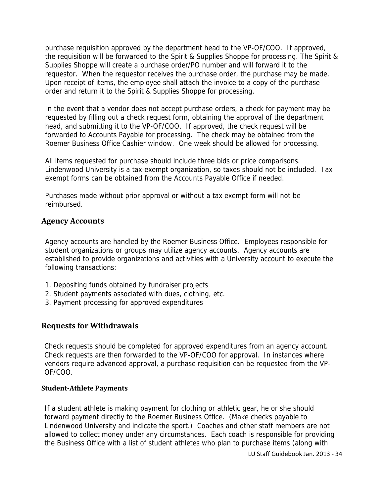purchase requisition approved by the department head to the VP-OF/COO. If approved, the requisition will be forwarded to the Spirit & Supplies Shoppe for processing. The Spirit & Supplies Shoppe will create a purchase order/PO number and will forward it to the requestor. When the requestor receives the purchase order, the purchase may be made. Upon receipt of items, the employee shall attach the invoice to a copy of the purchase order and return it to the Spirit & Supplies Shoppe for processing.

In the event that a vendor does not accept purchase orders, a check for payment may be requested by filling out a check request form, obtaining the approval of the department head, and submitting it to the VP-OF/COO. If approved, the check request will be forwarded to Accounts Payable for processing. The check may be obtained from the Roemer Business Office Cashier window. One week should be allowed for processing.

All items requested for purchase should include three bids or price comparisons. Lindenwood University is a tax-exempt organization, so taxes should not be included. Tax exempt forms can be obtained from the Accounts Payable Office if needed.

Purchases made without prior approval or without a tax exempt form will not be reimbursed.

#### **Agency Accounts**

Agency accounts are handled by the Roemer Business Office. Employees responsible for student organizations or groups may utilize agency accounts. Agency accounts are established to provide organizations and activities with a University account to execute the following transactions:

- 1. Depositing funds obtained by fundraiser projects
- 2. Student payments associated with dues, clothing, etc.
- 3. Payment processing for approved expenditures

#### **Requests for Withdrawals**

Check requests should be completed for approved expenditures from an agency account. Check requests are then forwarded to the VP-OF/COO for approval. In instances where vendors require advanced approval, a purchase requisition can be requested from the VP-OF/COO.

#### **Student‐Athlete Payments**

If a student athlete is making payment for clothing or athletic gear, he or she should forward payment directly to the Roemer Business Office. (Make checks payable to Lindenwood University and indicate the sport.) Coaches and other staff members are not allowed to collect money under any circumstances. Each coach is responsible for providing the Business Office with a list of student athletes who plan to purchase items (along with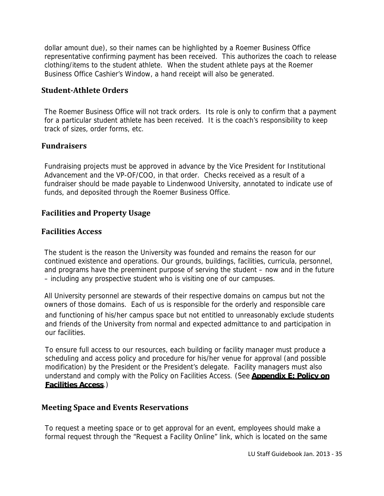dollar amount due), so their names can be highlighted by a Roemer Business Office representative confirming payment has been received. This authorizes the coach to release clothing/items to the student athlete. When the student athlete pays at the Roemer Business Office Cashier's Window, a hand receipt will also be generated.

### **Student‐Athlete Orders**

The Roemer Business Office will not track orders. Its role is only to confirm that a payment for a particular student athlete has been received. It is the coach's responsibility to keep track of sizes, order forms, etc.

### **Fundraisers**

Fundraising projects must be approved in advance by the Vice President for Institutional Advancement and the VP-OF/COO, in that order. Checks received as a result of a fundraiser should be made payable to Lindenwood University, annotated to indicate use of funds, and deposited through the Roemer Business Office.

## **Facilities and Property Usage**

### **Facilities Access**

The student is the reason the University was founded and remains the reason for our continued existence and operations. Our grounds, buildings, facilities, curricula, personnel, and programs have the preeminent purpose of serving the student – now and in the future – including any prospective student who is visiting one of our campuses.

All University personnel are stewards of their respective domains on campus but not the owners of those domains. Each of us is responsible for the orderly and responsible care and functioning of his/her campus space but not entitled to unreasonably exclude students and friends of the University from normal and expected admittance to and participation in our facilities.

To ensure full access to our resources, each building or facility manager must produce a scheduling and access policy and procedure for his/her venue for approval (and possible modification) by the President or the President's delegate. Facility managers must also understand and comply with the Policy on Facilities Access. (See **Appendix E: Policy on Facilities Access**.)

### **Meeting Space and Events Reservations**

To request a meeting space or to get approval for an event, employees should make a formal request through the "Request a Facility Online" link, which is located on the same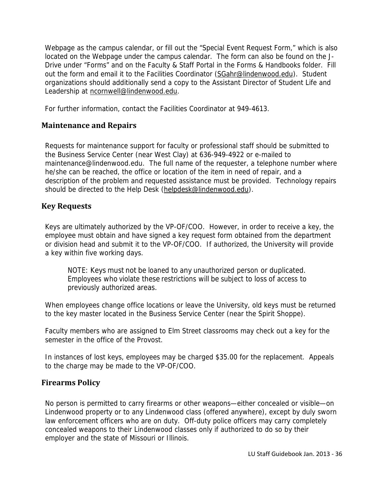Webpage as the campus calendar, or fill out the "Special Event Request Form," which is also located on the Webpage under the campus calendar. The form can also be found on the J-Drive under "Forms" and on the Faculty & Staff Portal in the Forms & Handbooks folder. Fill out the form and email it to the Facilities Coordinator (SGahr@lindenwood.edu). Student organizations should additionally send a copy to the Assistant Director of Student Life and Leadership at ncornwell@lindenwood.edu.

For further information, contact the Facilities Coordinator at 949-4613.

### **Maintenance and Repairs**

Requests for maintenance support for faculty or professional staff should be submitted to the Business Service Center (near West Clay) at 636-949-4922 or e-mailed to maintenance@lindenwood.edu. The full name of the requester, a telephone number where he/she can be reached, the office or location of the item in need of repair, and a description of the problem and requested assistance must be provided. Technology repairs should be directed to the Help Desk (helpdesk@lindenwood.edu).

## **Key Requests**

Keys are ultimately authorized by the VP-OF/COO. However, in order to receive a key, the employee must obtain and have signed a key request form obtained from the department or division head and submit it to the VP-OF/COO. If authorized, the University will provide a key within five working days.

NOTE: Keys must not be loaned to any unauthorized person or duplicated. Employees who violate these restrictions will be subject to loss of access to previously authorized areas.

When employees change office locations or leave the University, old keys must be returned to the key master located in the Business Service Center (near the Spirit Shoppe).

Faculty members who are assigned to Elm Street classrooms may check out a key for the semester in the office of the Provost.

In instances of lost keys, employees may be charged \$35.00 for the replacement. Appeals to the charge may be made to the VP-OF/COO.

### **Firearms Policy**

No person is permitted to carry firearms or other weapons—either concealed or visible—on Lindenwood property or to any Lindenwood class (offered anywhere), except by duly sworn law enforcement officers who are on duty. Off-duty police officers may carry completely concealed weapons to their Lindenwood classes only if authorized to do so by their employer and the state of Missouri or Illinois.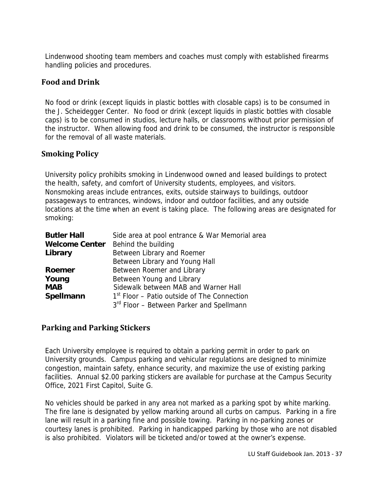Lindenwood shooting team members and coaches must comply with established firearms handling policies and procedures.

# **Food and Drink**

No food or drink (except liquids in plastic bottles with closable caps) is to be consumed in the J. Scheidegger Center. No food or drink (except liquids in plastic bottles with closable caps) is to be consumed in studios, lecture halls, or classrooms without prior permission of the instructor. When allowing food and drink to be consumed, the instructor is responsible for the removal of all waste materials.

# **Smoking Policy**

University policy prohibits smoking in Lindenwood owned and leased buildings to protect the health, safety, and comfort of University students, employees, and visitors. Nonsmoking areas include entrances, exits, outside stairways to buildings, outdoor passageways to entrances, windows, indoor and outdoor facilities, and any outside locations at the time when an event is taking place. The following areas are designated for smoking:

| <b>Butler Hall</b>    | Side area at pool entrance & War Memorial area          |
|-----------------------|---------------------------------------------------------|
| <b>Welcome Center</b> | Behind the building                                     |
| Library               | Between Library and Roemer                              |
|                       | Between Library and Young Hall                          |
| Roemer                | Between Roemer and Library                              |
| Young                 | Between Young and Library                               |
| <b>MAB</b>            | Sidewalk between MAB and Warner Hall                    |
| Spellmann             | 1 <sup>st</sup> Floor – Patio outside of The Connection |
|                       | 3rd Floor - Between Parker and Spellmann                |

## **Parking and Parking Stickers**

Each University employee is required to obtain a parking permit in order to park on University grounds. Campus parking and vehicular regulations are designed to minimize congestion, maintain safety, enhance security, and maximize the use of existing parking facilities. Annual \$2.00 parking stickers are available for purchase at the Campus Security Office, 2021 First Capitol, Suite G.

No vehicles should be parked in any area not marked as a parking spot by white marking. The fire lane is designated by yellow marking around all curbs on campus. Parking in a fire lane will result in a parking fine and possible towing. Parking in no-parking zones or courtesy lanes is prohibited. Parking in handicapped parking by those who are not disabled is also prohibited. Violators will be ticketed and/or towed at the owner's expense.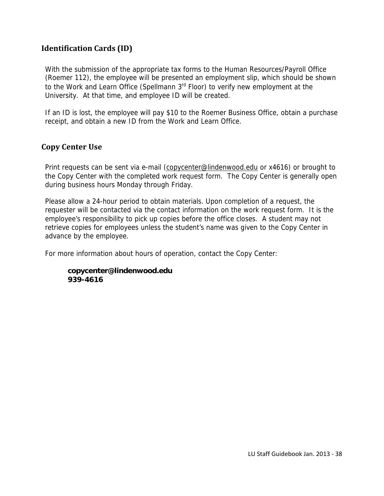# **Identification Cards (ID)**

With the submission of the appropriate tax forms to the Human Resources/Payroll Office (Roemer 112), the employee will be presented an employment slip, which should be shown to the Work and Learn Office (Spellmann 3<sup>rd</sup> Floor) to verify new employment at the University. At that time, and employee ID will be created.

If an ID is lost, the employee will pay \$10 to the Roemer Business Office, obtain a purchase receipt, and obtain a new ID from the Work and Learn Office.

### **Copy Center Use**

Print requests can be sent via e-mail (copycenter@lindenwood.edu or x4616) or brought to the Copy Center with the completed work request form. The Copy Center is generally open during business hours Monday through Friday.

Please allow a 24-hour period to obtain materials. Upon completion of a request, the requester will be contacted via the contact information on the work request form. It is the employee's responsibility to pick up copies before the office closes. A student may not retrieve copies for employees unless the student's name was given to the Copy Center in advance by the employee.

For more information about hours of operation, contact the Copy Center:

**copycenter@lindenwood.edu 939-4616**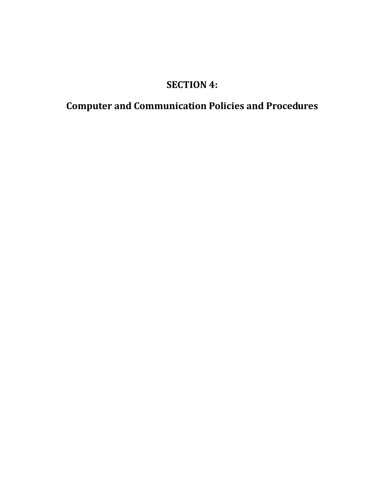# **SECTION 4:**

# **Computer and Communication Policies and Procedures**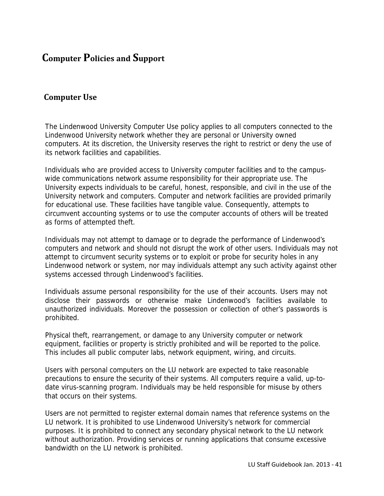# **Computer Policies and Support**

# **Computer Use**

The Lindenwood University Computer Use policy applies to all computers connected to the Lindenwood University network whether they are personal or University owned computers. At its discretion, the University reserves the right to restrict or deny the use of its network facilities and capabilities.

Individuals who are provided access to University computer facilities and to the campuswide communications network assume responsibility for their appropriate use. The University expects individuals to be careful, honest, responsible, and civil in the use of the University network and computers. Computer and network facilities are provided primarily for educational use. These facilities have tangible value. Consequently, attempts to circumvent accounting systems or to use the computer accounts of others will be treated as forms of attempted theft.

Individuals may not attempt to damage or to degrade the performance of Lindenwood's computers and network and should not disrupt the work of other users. Individuals may not attempt to circumvent security systems or to exploit or probe for security holes in any Lindenwood network or system, nor may individuals attempt any such activity against other systems accessed through Lindenwood's facilities.

Individuals assume personal responsibility for the use of their accounts. Users may not disclose their passwords or otherwise make Lindenwood's facilities available to unauthorized individuals. Moreover the possession or collection of other's passwords is prohibited.

Physical theft, rearrangement, or damage to any University computer or network equipment, facilities or property is strictly prohibited and will be reported to the police. This includes all public computer labs, network equipment, wiring, and circuits.

Users with personal computers on the LU network are expected to take reasonable precautions to ensure the security of their systems. All computers require a valid, up-todate virus-scanning program. Individuals may be held responsible for misuse by others that occurs on their systems.

Users are not permitted to register external domain names that reference systems on the LU network. It is prohibited to use Lindenwood University's network for commercial purposes. It is prohibited to connect any secondary physical network to the LU network without authorization. Providing services or running applications that consume excessive bandwidth on the LU network is prohibited.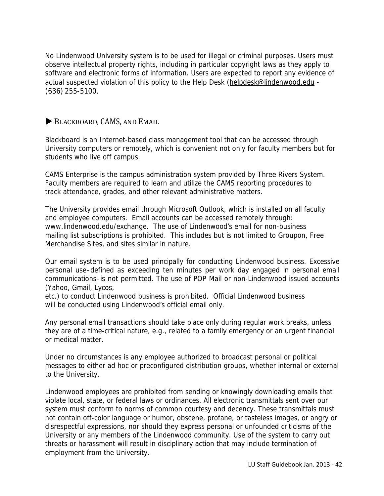No Lindenwood University system is to be used for illegal or criminal purposes. Users must observe intellectual property rights, including in particular copyright laws as they apply to software and electronic forms of information. Users are expected to report any evidence of actual suspected violation of this policy to the Help Desk (helpdesk@lindenwood.edu - (636) 255-5100.

### BLACKBOARD, CAMS, AND EMAIL

Blackboard is an Internet-based class management tool that can be accessed through University computers or remotely, which is convenient not only for faculty members but for students who live off campus.

CAMS Enterprise is the campus administration system provided by Three Rivers System. Faculty members are required to learn and utilize the CAMS reporting procedures to track attendance, grades, and other relevant administrative matters.

The University provides email through Microsoft Outlook, which is installed on all faculty and employee computers. Email accounts can be accessed remotely through: www.lindenwood.edu/exchange. The use of Lindenwood's email for non-business mailing list subscriptions is prohibited. This includes but is not limited to Groupon, Free Merchandise Sites, and sites similar in nature.

Our email system is to be used principally for conducting Lindenwood business. Excessive personal use–defined as exceeding ten minutes per work day engaged in personal email communications–is not permitted. The use of POP Mail or non-Lindenwood issued accounts (Yahoo, Gmail, Lycos,

etc.) to conduct Lindenwood business is prohibited. Official Lindenwood business will be conducted using Lindenwood's official email only.

Any personal email transactions should take place only during regular work breaks, unless they are of a time-critical nature, e.g., related to a family emergency or an urgent financial or medical matter.

Under no circumstances is any employee authorized to broadcast personal or political messages to either ad hoc or preconfigured distribution groups, whether internal or external to the University.

Lindenwood employees are prohibited from sending or knowingly downloading emails that violate local, state, or federal laws or ordinances. All electronic transmittals sent over our system must conform to norms of common courtesy and decency. These transmittals must not contain off-color language or humor, obscene, profane, or tasteless images, or angry or disrespectful expressions, nor should they express personal or unfounded criticisms of the University or any members of the Lindenwood community. Use of the system to carry out threats or harassment will result in disciplinary action that may include termination of employment from the University.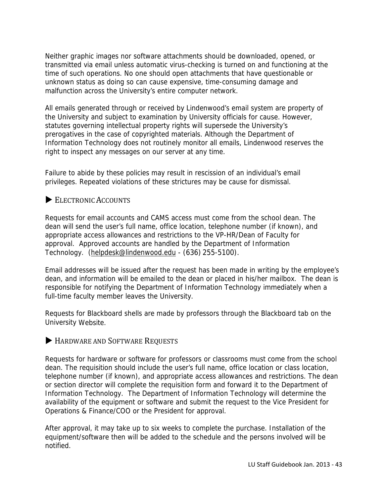Neither graphic images nor software attachments should be downloaded, opened, or transmitted via email unless automatic virus-checking is turned on and functioning at the time of such operations. No one should open attachments that have questionable or unknown status as doing so can cause expensive, time-consuming damage and malfunction across the University's entire computer network.

All emails generated through or received by Lindenwood's email system are property of the University and subject to examination by University officials for cause. However, statutes governing intellectual property rights will supersede the University's prerogatives in the case of copyrighted materials. Although the Department of Information Technology does not routinely monitor all emails, Lindenwood reserves the right to inspect any messages on our server at any time.

Failure to abide by these policies may result in rescission of an individual's email privileges. Repeated violations of these strictures may be cause for dismissal.

### ELECTRONIC ACCOUNTS

Requests for email accounts and CAMS access must come from the school dean. The dean will send the user's full name, office location, telephone number (if known), and appropriate access allowances and restrictions to the VP-HR/Dean of Faculty for approval. Approved accounts are handled by the Department of Information Technology. (helpdesk@lindenwood.edu - (636) 255-5100).

Email addresses will be issued after the request has been made in writing by the employee's dean, and information will be emailed to the dean or placed in his/her mailbox. The dean is responsible for notifying the Department of Information Technology immediately when a full-time faculty member leaves the University.

Requests for Blackboard shells are made by professors through the Blackboard tab on the University Website.

### HARDWARE AND SOFTWARE REQUESTS

Requests for hardware or software for professors or classrooms must come from the school dean. The requisition should include the user's full name, office location or class location, telephone number (if known), and appropriate access allowances and restrictions. The dean or section director will complete the requisition form and forward it to the Department of Information Technology. The Department of Information Technology will determine the availability of the equipment or software and submit the request to the Vice President for Operations & Finance/COO or the President for approval.

After approval, it may take up to six weeks to complete the purchase. Installation of the equipment/software then will be added to the schedule and the persons involved will be notified.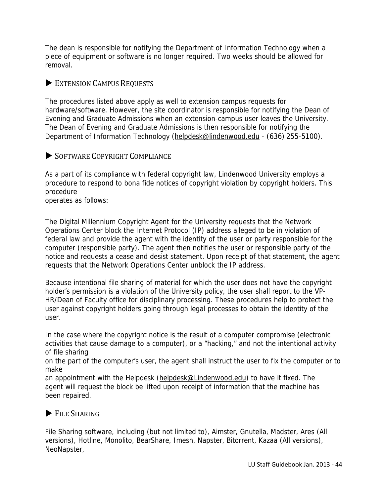The dean is responsible for notifying the Department of Information Technology when a piece of equipment or software is no longer required. Two weeks should be allowed for removal.

# EXTENSION CAMPUS REQUESTS

The procedures listed above apply as well to extension campus requests for hardware/software. However, the site coordinator is responsible for notifying the Dean of Evening and Graduate Admissions when an extension-campus user leaves the University. The Dean of Evening and Graduate Admissions is then responsible for notifying the Department of Information Technology (helpdesk@lindenwood.edu - (636) 255-5100).

# SOFTWARE COPYRIGHT COMPLIANCE

As a part of its compliance with federal copyright law, Lindenwood University employs a procedure to respond to bona fide notices of copyright violation by copyright holders. This procedure

operates as follows:

The Digital Millennium Copyright Agent for the University requests that the Network Operations Center block the Internet Protocol (IP) address alleged to be in violation of federal law and provide the agent with the identity of the user or party responsible for the computer (responsible party). The agent then notifies the user or responsible party of the notice and requests a cease and desist statement. Upon receipt of that statement, the agent requests that the Network Operations Center unblock the IP address.

Because intentional file sharing of material for which the user does not have the copyright holder's permission is a violation of the University policy, the user shall report to the VP-HR/Dean of Faculty office for disciplinary processing. These procedures help to protect the user against copyright holders going through legal processes to obtain the identity of the user.

In the case where the copyright notice is the result of a computer compromise (electronic activities that cause damage to a computer), or a "hacking," and not the intentional activity of file sharing

on the part of the computer's user, the agent shall instruct the user to fix the computer or to make

an appointment with the Helpdesk (helpdesk@Lindenwood.edu) to have it fixed. The agent will request the block be lifted upon receipt of information that the machine has been repaired.

## FILE SHARING

File Sharing software, including (but not limited to), Aimster, Gnutella, Madster, Ares (All versions), Hotline, Monolito, BearShare, Imesh, Napster, Bitorrent, Kazaa (All versions), NeoNapster,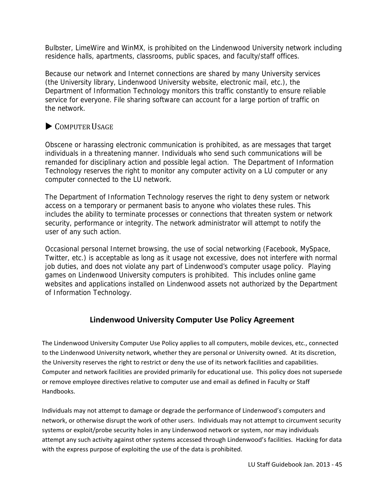Bulbster, LimeWire and WinMX, is prohibited on the Lindenwood University network including residence halls, apartments, classrooms, public spaces, and faculty/staff offices.

Because our network and Internet connections are shared by many University services (the University library, Lindenwood University website, electronic mail, etc.), the Department of Information Technology monitors this traffic constantly to ensure reliable service for everyone. File sharing software can account for a large portion of traffic on the network.

# COMPUTER USAGE

Obscene or harassing electronic communication is prohibited, as are messages that target individuals in a threatening manner. Individuals who send such communications will be remanded for disciplinary action and possible legal action. The Department of Information Technology reserves the right to monitor any computer activity on a LU computer or any computer connected to the LU network.

The Department of Information Technology reserves the right to deny system or network access on a temporary or permanent basis to anyone who violates these rules. This includes the ability to terminate processes or connections that threaten system or network security, performance or integrity. The network administrator will attempt to notify the user of any such action.

Occasional personal Internet browsing, the use of social networking (Facebook, MySpace, Twitter, etc.) is acceptable as long as it usage not excessive, does not interfere with normal job duties, and does not violate any part of Lindenwood's computer usage policy. Playing games on Lindenwood University computers is prohibited. This includes online game websites and applications installed on Lindenwood assets not authorized by the Department of Information Technology.

## **Lindenwood University Computer Use Policy Agreement**

The Lindenwood University Computer Use Policy applies to all computers, mobile devices, etc., connected to the Lindenwood University network, whether they are personal or University owned. At its discretion, the University reserves the right to restrict or deny the use of its network facilities and capabilities. Computer and network facilities are provided primarily for educational use. This policy does not supersede or remove employee directives relative to computer use and email as defined in Faculty or Staff Handbooks.

Individuals may not attempt to damage or degrade the performance of Lindenwood's computers and network, or otherwise disrupt the work of other users. Individuals may not attempt to circumvent security systems or exploit/probe security holes in any Lindenwood network or system, nor may individuals attempt any such activity against other systems accessed through Lindenwood's facilities. Hacking for data with the express purpose of exploiting the use of the data is prohibited.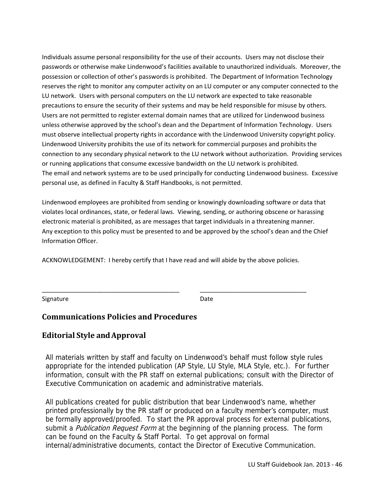Individuals assume personal responsibility for the use of their accounts. Users may not disclose their passwords or otherwise make Lindenwood's facilities available to unauthorized individuals. Moreover, the possession or collection of other's passwords is prohibited. The Department of Information Technology reserves the right to monitor any computer activity on an LU computer or any computer connected to the LU network. Users with personal computers on the LU network are expected to take reasonable precautions to ensure the security of their systems and may be held responsible for misuse by others. Users are not permitted to register external domain names that are utilized for Lindenwood business unless otherwise approved by the school's dean and the Department of Information Technology. Users must observe intellectual property rights in accordance with the Lindenwood University copyright policy. Lindenwood University prohibits the use of its network for commercial purposes and prohibits the connection to any secondary physical network to the LU network without authorization. Providing services or running applications that consume excessive bandwidth on the LU network is prohibited. The email and network systems are to be used principally for conducting Lindenwood business. Excessive personal use, as defined in Faculty & Staff Handbooks, is not permitted.

Lindenwood employees are prohibited from sending or knowingly downloading software or data that violates local ordinances, state, or federal laws. Viewing, sending, or authoring obscene or harassing electronic material is prohibited, as are messages that target individuals in a threatening manner. Any exception to this policy must be presented to and be approved by the school's dean and the Chief Information Officer.

ACKNOWLEDGEMENT: I hereby certify that I have read and will abide by the above policies.

\_\_\_\_\_\_\_\_\_\_\_\_\_\_\_\_\_\_\_\_\_\_\_\_\_\_\_\_\_\_\_\_\_\_\_\_\_\_\_\_ \_\_\_\_\_\_\_\_\_\_\_\_\_\_\_\_\_\_\_\_\_\_\_\_\_\_\_\_\_\_\_

Signature **Date** 

## **Communications Policies and Procedures**

# **Editorial Style andApproval**

All materials written by staff and faculty on Lindenwood's behalf must follow style rules appropriate for the intended publication (AP Style, LU Style, MLA Style, etc.). For further information, consult with the PR staff on external publications; consult with the Director of Executive Communication on academic and administrative materials.

All publications created for public distribution that bear Lindenwood's name, whether printed professionally by the PR staff or produced on a faculty member's computer, must be formally approved/proofed. To start the PR approval process for external publications, submit a *Publication Request Form* at the beginning of the planning process. The form can be found on the Faculty & Staff Portal. To get approval on formal internal/administrative documents, contact the Director of Executive Communication.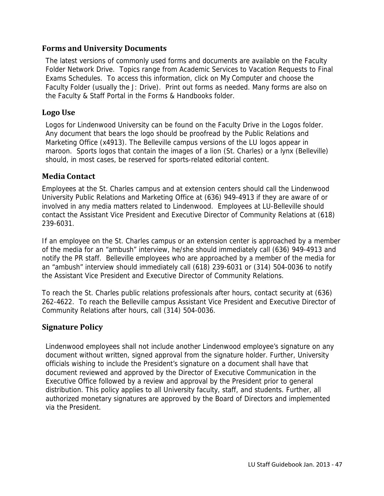### **Forms and University Documents**

The latest versions of commonly used forms and documents are available on the Faculty Folder Network Drive. Topics range from Academic Services to Vacation Requests to Final Exams Schedules. To access this information, click on My Computer and choose the Faculty Folder (usually the J: Drive). Print out forms as needed. Many forms are also on the Faculty & Staff Portal in the Forms & Handbooks folder.

### **Logo Use**

Logos for Lindenwood University can be found on the Faculty Drive in the Logos folder. Any document that bears the logo should be proofread by the Public Relations and Marketing Office (x4913). The Belleville campus versions of the LU logos appear in maroon. Sports logos that contain the images of a lion (St. Charles) or a lynx (Belleville) should, in most cases, be reserved for sports-related editorial content.

### **Media Contact**

Employees at the St. Charles campus and at extension centers should call the Lindenwood University Public Relations and Marketing Office at (636) 949-4913 if they are aware of or involved in any media matters related to Lindenwood. Employees at LU-Belleville should contact the Assistant Vice President and Executive Director of Community Relations at (618) 239-6031.

If an employee on the St. Charles campus or an extension center is approached by a member of the media for an "ambush" interview, he/she should immediately call (636) 949-4913 and notify the PR staff. Belleville employees who are approached by a member of the media for an "ambush" interview should immediately call (618) 239-6031 or (314) 504-0036 to notify the Assistant Vice President and Executive Director of Community Relations.

To reach the St. Charles public relations professionals after hours, contact security at (636) 262-4622. To reach the Belleville campus Assistant Vice President and Executive Director of Community Relations after hours, call (314) 504-0036.

## **Signature Policy**

Lindenwood employees shall not include another Lindenwood employee's signature on any document without written, signed approval from the signature holder. Further, University officials wishing to include the President's signature on a document shall have that document reviewed and approved by the Director of Executive Communication in the Executive Office followed by a review and approval by the President prior to general distribution. This policy applies to all University faculty, staff, and students. Further, all authorized monetary signatures are approved by the Board of Directors and implemented via the President.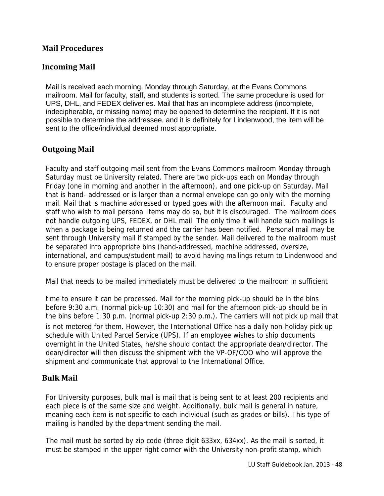## **Mail Procedures**

# **Incoming Mail**

Mail is received each morning, Monday through Saturday, at the Evans Commons mailroom. Mail for faculty, staff, and students is sorted. The same procedure is used for UPS, DHL, and FEDEX deliveries. Mail that has an incomplete address (incomplete, indecipherable, or missing name) may be opened to determine the recipient. If it is not possible to determine the addressee, and it is definitely for Lindenwood, the item will be sent to the office/individual deemed most appropriate.

## **Outgoing Mail**

Faculty and staff outgoing mail sent from the Evans Commons mailroom Monday through Saturday must be University related. There are two pick-ups each on Monday through Friday (one in morning and another in the afternoon), and one pick-up on Saturday. Mail that is hand- addressed or is larger than a normal envelope can go only with the morning mail. Mail that is machine addressed or typed goes with the afternoon mail. Faculty and staff who wish to mail personal items may do so, but it is discouraged. The mailroom does not handle outgoing UPS, FEDEX, or DHL mail. The only time it will handle such mailings is when a package is being returned and the carrier has been notified. Personal mail may be sent through University mail if stamped by the sender. Mail delivered to the mailroom must be separated into appropriate bins (hand-addressed, machine addressed, oversize, international, and campus/student mail) to avoid having mailings return to Lindenwood and to ensure proper postage is placed on the mail.

Mail that needs to be mailed immediately must be delivered to the mailroom in sufficient

time to ensure it can be processed. Mail for the morning pick-up should be in the bins before 9:30 a.m. (normal pick-up 10:30) and mail for the afternoon pick-up should be in the bins before 1:30 p.m. (normal pick-up 2:30 p.m.). The carriers will not pick up mail that is not metered for them. However, the International Office has a daily non-holiday pick up schedule with United Parcel Service (UPS). If an employee wishes to ship documents overnight in the United States, he/she should contact the appropriate dean/director. The dean/director will then discuss the shipment with the VP-OF/COO who will approve the shipment and communicate that approval to the International Office.

## **Bulk Mail**

For University purposes, bulk mail is mail that is being sent to at least 200 recipients and each piece is of the same size and weight. Additionally, bulk mail is general in nature, meaning each item is not specific to each individual (such as grades or bills). This type of mailing is handled by the department sending the mail.

The mail must be sorted by zip code (three digit 633xx, 634xx). As the mail is sorted, it must be stamped in the upper right corner with the University non-profit stamp, which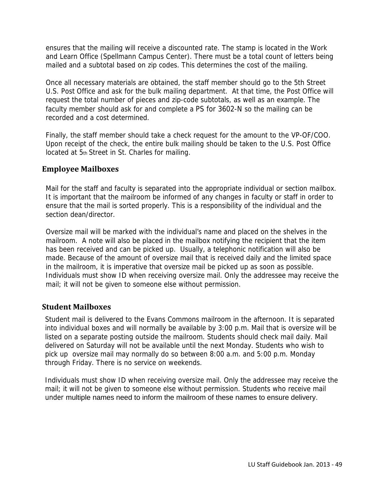ensures that the mailing will receive a discounted rate. The stamp is located in the Work and Learn Office (Spellmann Campus Center). There must be a total count of letters being mailed and a subtotal based on zip codes. This determines the cost of the mailing.

Once all necessary materials are obtained, the staff member should go to the 5th Street U.S. Post Office and ask for the bulk mailing department. At that time, the Post Office will request the total number of pieces and zip-code subtotals, as well as an example. The faculty member should ask for and complete a PS for 3602-N so the mailing can be recorded and a cost determined.

Finally, the staff member should take a check request for the amount to the VP-OF/COO. Upon receipt of the check, the entire bulk mailing should be taken to the U.S. Post Office located at 5th Street in St. Charles for mailing.

### **Employee Mailboxes**

Mail for the staff and faculty is separated into the appropriate individual or section mailbox. It is important that the mailroom be informed of any changes in faculty or staff in order to ensure that the mail is sorted properly. This is a responsibility of the individual and the section dean/director.

Oversize mail will be marked with the individual's name and placed on the shelves in the mailroom. A note will also be placed in the mailbox notifying the recipient that the item has been received and can be picked up. Usually, a telephonic notification will also be made. Because of the amount of oversize mail that is received daily and the limited space in the mailroom, it is imperative that oversize mail be picked up as soon as possible. Individuals must show ID when receiving oversize mail. Only the addressee may receive the mail; it will not be given to someone else without permission.

### **Student Mailboxes**

Student mail is delivered to the Evans Commons mailroom in the afternoon. It is separated into individual boxes and will normally be available by 3:00 p.m. Mail that is oversize will be listed on a separate posting outside the mailroom. Students should check mail daily. Mail delivered on Saturday will not be available until the next Monday. Students who wish to pick up oversize mail may normally do so between 8:00 a.m. and 5:00 p.m. Monday through Friday. There is no service on weekends.

Individuals must show ID when receiving oversize mail. Only the addressee may receive the mail; it will not be given to someone else without permission. Students who receive mail under multiple names need to inform the mailroom of these names to ensure delivery.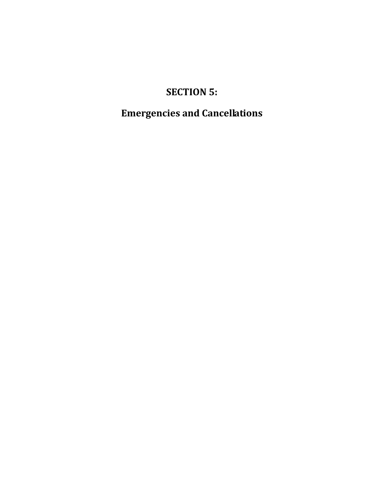# **SECTION 5:**

# **Emergencies and Cancellations**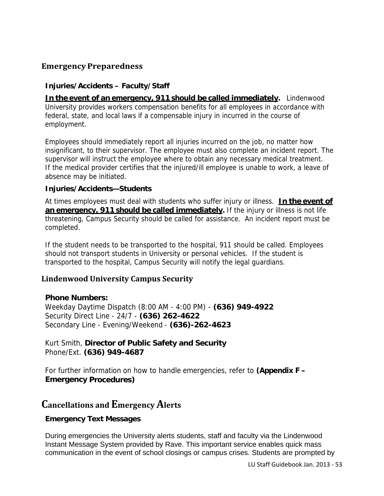# **EmergencyPreparedness**

### **Injuries/Accidents – Faculty/Staff**

**In the event of an emergency, 911 should be called immediately.** Lindenwood University provides workers compensation benefits for all employees in accordance with federal, state, and local laws if a compensable injury in incurred in the course of employment.

Employees should immediately report all injuries incurred on the job, no matter how insignificant, to their supervisor. The employee must also complete an incident report. The supervisor will instruct the employee where to obtain any necessary medical treatment. If the medical provider certifies that the injured/ill employee is unable to work, a leave of absence may be initiated.

### **Injuries/Accidents—Students**

At times employees must deal with students who suffer injury or illness. **In the event of an emergency, 911 should be called immediately.** If the injury or illness is not life threatening, Campus Security should be called for assistance. An incident report must be completed.

If the student needs to be transported to the hospital, 911 should be called. Employees should not transport students in University or personal vehicles. If the student is transported to the hospital, Campus Security will notify the legal guardians.

### **Lindenwood University Campus Security**

### **Phone Numbers:**

Weekday Daytime Dispatch (8:00 AM - 4:00 PM) - **(636) 949-4922** Security Direct Line - 24/7 - **(636) 262-4622** Secondary Line - Evening/Weekend - **(636)-262-4623**

Kurt Smith, **Director of Public Safety and Security** Phone/Ext. **(636) 949-4687**

For further information on how to handle emergencies, refer to **(Appendix F – Emergency Procedures)**

# **Cancellations and EmergencyAlerts**

### **Emergency Text Messages**

During emergencies the University alerts students, staff and faculty via the Lindenwood Instant Message System provided by Rave. This important service enables quick mass communication in the event of school closings or campus crises. Students are prompted by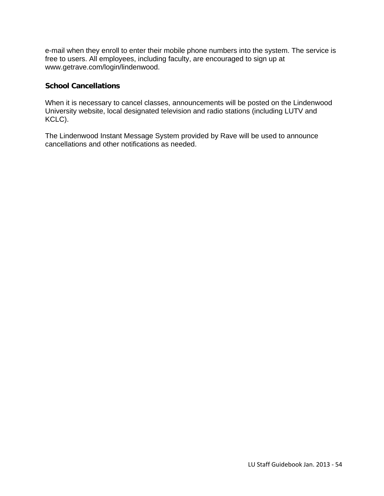e-mail when they enroll to enter their mobile phone numbers into the system. The service is free to users. All employees, including faculty, are encouraged to sign up at www.getrave.com/login/lindenwood.

### **School Cancellations**

When it is necessary to cancel classes, announcements will be posted on the Lindenwood University website, local designated television and radio stations (including LUTV and KCLC).

The Lindenwood Instant Message System provided by Rave will be used to announce cancellations and other notifications as needed.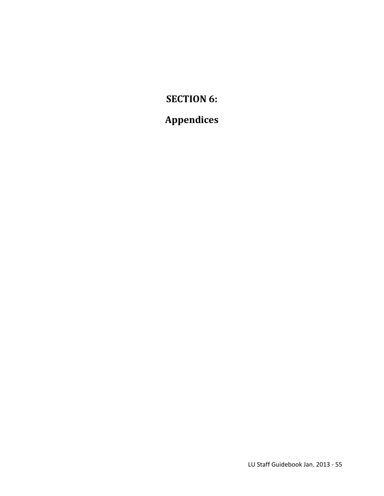**SECTION 6:**

# **Appendices**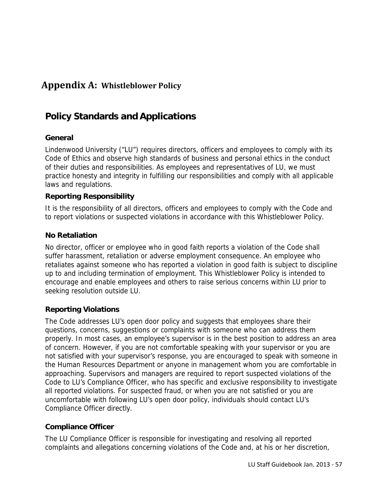# **Appendix A: Whistleblower Policy**

# **Policy Standards and Applications**

### **General**

Lindenwood University ("LU") requires directors, officers and employees to comply with its Code of Ethics and observe high standards of business and personal ethics in the conduct of their duties and responsibilities. As employees and representatives of LU, we must practice honesty and integrity in fulfilling our responsibilities and comply with all applicable laws and regulations.

### **Reporting Responsibility**

It is the responsibility of all directors, officers and employees to comply with the Code and to report violations or suspected violations in accordance with this Whistleblower Policy.

### **No Retaliation**

No director, officer or employee who in good faith reports a violation of the Code shall suffer harassment, retaliation or adverse employment consequence. An employee who retaliates against someone who has reported a violation in good faith is subject to discipline up to and including termination of employment. This Whistleblower Policy is intended to encourage and enable employees and others to raise serious concerns within LU prior to seeking resolution outside LU.

### **Reporting Violations**

The Code addresses LU's open door policy and suggests that employees share their questions, concerns, suggestions or complaints with someone who can address them properly. In most cases, an employee's supervisor is in the best position to address an area of concern. However, if you are not comfortable speaking with your supervisor or you are not satisfied with your supervisor's response, you are encouraged to speak with someone in the Human Resources Department or anyone in management whom you are comfortable in approaching. Supervisors and managers are required to report suspected violations of the Code to LU's Compliance Officer, who has specific and exclusive responsibility to investigate all reported violations. For suspected fraud, or when you are not satisfied or you are uncomfortable with following LU's open door policy, individuals should contact LU's Compliance Officer directly.

### **Compliance Officer**

The LU Compliance Officer is responsible for investigating and resolving all reported complaints and allegations concerning violations of the Code and, at his or her discretion,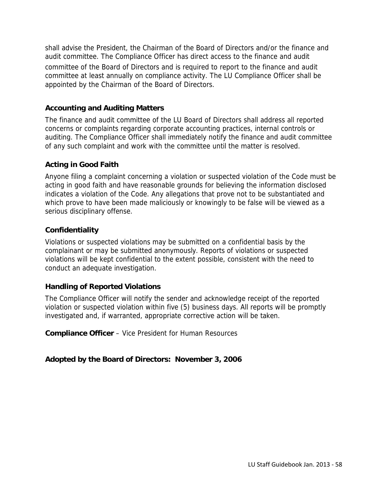shall advise the President, the Chairman of the Board of Directors and/or the finance and audit committee. The Compliance Officer has direct access to the finance and audit committee of the Board of Directors and is required to report to the finance and audit committee at least annually on compliance activity. The LU Compliance Officer shall be appointed by the Chairman of the Board of Directors.

### **Accounting and Auditing Matters**

The finance and audit committee of the LU Board of Directors shall address all reported concerns or complaints regarding corporate accounting practices, internal controls or auditing. The Compliance Officer shall immediately notify the finance and audit committee of any such complaint and work with the committee until the matter is resolved.

### **Acting in Good Faith**

Anyone filing a complaint concerning a violation or suspected violation of the Code must be acting in good faith and have reasonable grounds for believing the information disclosed indicates a violation of the Code. Any allegations that prove not to be substantiated and which prove to have been made maliciously or knowingly to be false will be viewed as a serious disciplinary offense.

### **Confidentiality**

Violations or suspected violations may be submitted on a confidential basis by the complainant or may be submitted anonymously. Reports of violations or suspected violations will be kept confidential to the extent possible, consistent with the need to conduct an adequate investigation.

## **Handling of Reported Violations**

The Compliance Officer will notify the sender and acknowledge receipt of the reported violation or suspected violation within five (5) business days. All reports will be promptly investigated and, if warranted, appropriate corrective action will be taken.

**Compliance Officer** – Vice President for Human Resources

**Adopted by the Board of Directors: November 3, 2006**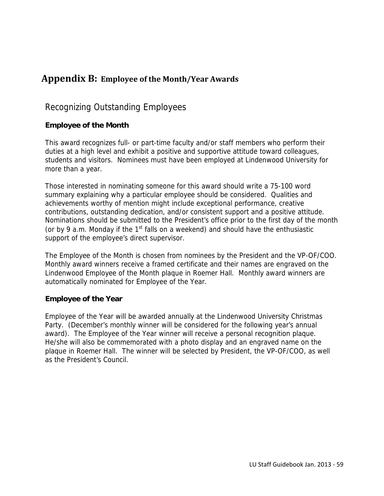# **Appendix B: Employee of the Month/Year Awards**

# Recognizing Outstanding Employees

### **Employee of the Month**

This award recognizes full- or part-time faculty and/or staff members who perform their duties at a high level and exhibit a positive and supportive attitude toward colleagues, students and visitors. Nominees must have been employed at Lindenwood University for more than a year.

Those interested in nominating someone for this award should write a 75-100 word summary explaining why a particular employee should be considered. Qualities and achievements worthy of mention might include exceptional performance, creative contributions, outstanding dedication, and/or consistent support and a positive attitude. Nominations should be submitted to the President's office prior to the first day of the month (or by 9 a.m. Monday if the  $1<sup>st</sup>$  falls on a weekend) and should have the enthusiastic support of the employee's direct supervisor.

The Employee of the Month is chosen from nominees by the President and the VP-OF/COO. Monthly award winners receive a framed certificate and their names are engraved on the Lindenwood Employee of the Month plaque in Roemer Hall. Monthly award winners are automatically nominated for Employee of the Year.

### **Employee of the Year**

Employee of the Year will be awarded annually at the Lindenwood University Christmas Party. (December's monthly winner will be considered for the following year's annual award). The Employee of the Year winner will receive a personal recognition plaque. He/she will also be commemorated with a photo display and an engraved name on the plaque in Roemer Hall. The winner will be selected by President, the VP-OF/COO, as well as the President's Council.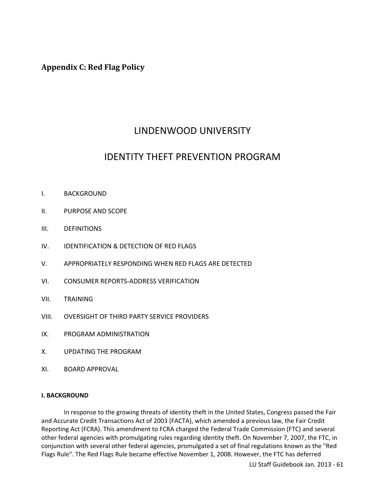### **Appendix C: Red Flag Policy**

# LINDENWOOD UNIVERSITY

# IDENTITY THEFT PREVENTION PROGRAM

- I. BACKGROUND
- II. PURPOSE AND SCOPE
- III. DEFINITIONS
- IV. IDENTIFICATION & DETECTION OF RED FLAGS
- V. APPROPRIATELY RESPONDING WHEN RED FLAGS ARE DETECTED
- VI. CONSUMER REPORTS‐ADDRESS VERIFICATION
- VII. TRAINING
- VIII. OVERSIGHT OF THIRD PARTY SERVICE PROVIDERS
- IX. PROGRAM ADMINISTRATION
- X. UPDATING THE PROGRAM
- XI. BOARD APPROVAL

#### **I. BACKGROUND**

In response to the growing threats of identity theft in the United States, Congress passed the Fair and Accurate Credit Transactions Act of 2003 (FACTA), which amended a previous law, the Fair Credit Reporting Act (FCRA). This amendment to FCRA charged the Federal Trade Commission (FTC) and several other federal agencies with promulgating rules regarding identity theft. On November 7, 2007, the FTC, in conjunction with several other federal agencies, promulgated a set of final regulations known as the "Red Flags Rule". The Red Flags Rule became effective November 1, 2008. However, the FTC has deferred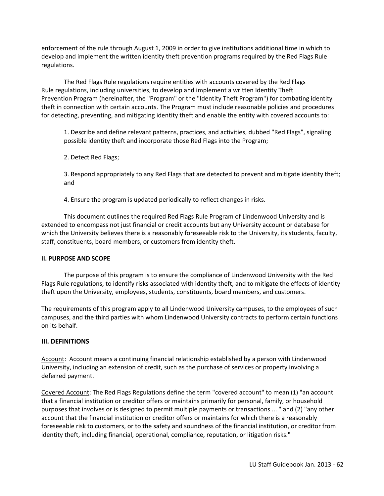enforcement of the rule through August 1, 2009 in order to give institutions additional time in which to develop and implement the written identity theft prevention programs required by the Red Flags Rule regulations.

The Red Flags Rule regulations require entities with accounts covered by the Red Flags Rule regulations, including universities, to develop and implement a written Identity Theft Prevention Program (hereinafter, the "Program" or the "Identity Theft Program") for combating identity theft in connection with certain accounts. The Program must include reasonable policies and procedures for detecting, preventing, and mitigating identity theft and enable the entity with covered accounts to:

1. Describe and define relevant patterns, practices, and activities, dubbed "Red Flags", signaling possible identity theft and incorporate those Red Flags into the Program;

2. Detect Red Flags;

3. Respond appropriately to any Red Flags that are detected to prevent and mitigate identity theft; and

4. Ensure the program is updated periodically to reflect changes in risks.

This document outlines the required Red Flags Rule Program of Lindenwood University and is extended to encompass not just financial or credit accounts but any University account or database for which the University believes there is a reasonably foreseeable risk to the University, its students, faculty, staff, constituents, board members, or customers from identity theft.

### **II. PURPOSE AND SCOPE**

The purpose of this program is to ensure the compliance of Lindenwood University with the Red Flags Rule regulations, to identify risks associated with identity theft, and to mitigate the effects of identity theft upon the University, employees, students, constituents, board members, and customers.

The requirements of this program apply to all Lindenwood University campuses, to the employees of such campuses, and the third parties with whom Lindenwood University contracts to perform certain functions on its behalf.

### **III. DEFINITIONS**

Account: Account means a continuing financial relationship established by a person with Lindenwood University, including an extension of credit, such as the purchase of services or property involving a deferred payment.

Covered Account: The Red Flags Regulations define the term "covered account" to mean (1) "an account that a financial institution or creditor offers or maintains primarily for personal, family, or household purposes that involves or is designed to permit multiple payments or transactions ... " and (2) "any other account that the financial institution or creditor offers or maintains for which there is a reasonably foreseeable risk to customers, or to the safety and soundness of the financial institution, or creditor from identity theft, including financial, operational, compliance, reputation, or litigation risks."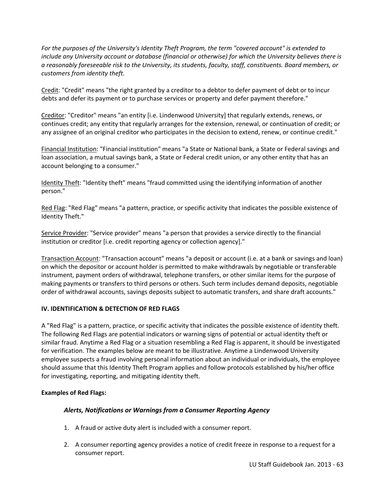*For the purposes of the University's Identity Theft Program, the term "covered account" is extended to include any University account or database (financial or otherwise) for which the University believes there is a reasonably foreseeable risk to the University, its students, faculty, staff, constituents. Board members, or customers from identity theft.*

Credit: "Credit" means "the right granted by a creditor to a debtor to defer payment of debt or to incur debts and defer its payment or to purchase services or property and defer payment therefore."

Creditor: "Creditor" means "an entity [i.e. Lindenwood University] that regularly extends, renews, or continues credit; any entity that regularly arranges for the extension, renewal, or continuation of credit; or any assignee of an original creditor who participates in the decision to extend, renew, or continue credit."

Financial Institution: "Financial institution" means "a State or National bank, a State or Federal savings and loan association, a mutual savings bank, a State or Federal credit union, or any other entity that has an account belonging to a consumer."

Identity Theft: "Identity theft" means "fraud committed using the identifying information of another person."

Red Flag: "Red Flag" means "a pattern, practice, or specific activity that indicates the possible existence of Identity Theft."

Service Provider: "Service provider" means "a person that provides a service directly to the financial institution or creditor [i.e. credit reporting agency or collection agency]."

Transaction Account: "Transaction account" means "a deposit or account (i.e. at a bank or savings and loan) on which the depositor or account holder is permitted to make withdrawals by negotiable or transferable instrument, payment orders of withdrawal, telephone transfers, or other similar items for the purpose of making payments or transfers to third persons or others. Such term includes demand deposits, negotiable order of withdrawal accounts, savings deposits subject to automatic transfers, and share draft accounts."

### **IV. IDENTIFICATION & DETECTION OF RED FLAGS**

A "Red Flag" is a pattern, practice, or specific activity that indicates the possible existence of identity theft. The following Red Flags are potential indicators or warning signs of potential or actual identity theft or similar fraud. Anytime a Red Flag or a situation resembling a Red Flag is apparent, it should be investigated for verification. The examples below are meant to be illustrative. Anytime a Lindenwood University employee suspects a fraud involving personal information about an individual or individuals, the employee should assume that this Identity Theft Program applies and follow protocols established by his/her office for investigating, reporting, and mitigating identity theft.

### **Examples of Red Flags:**

### *Alerts, Notifications or Warnings from a Consumer Reporting Agency*

- 1. A fraud or active duty alert is included with a consumer report.
- 2. A consumer reporting agency provides a notice of credit freeze in response to a request for a consumer report.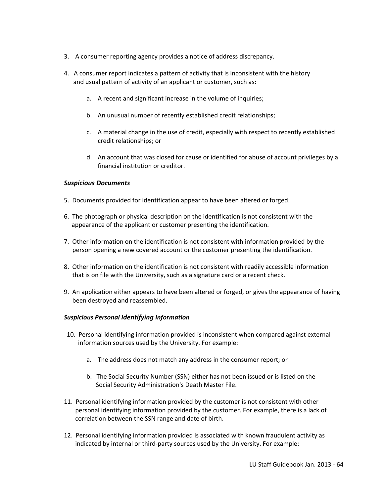- 3. A consumer reporting agency provides a notice of address discrepancy.
- 4. A consumer report indicates a pattern of activity that is inconsistent with the history and usual pattern of activity of an applicant or customer, such as:
	- a. A recent and significant increase in the volume of inquiries;
	- b. An unusual number of recently established credit relationships;
	- c. A material change in the use of credit, especially with respect to recently established credit relationships; or
	- d. An account that was closed for cause or identified for abuse of account privileges by a financial institution or creditor.

### *Suspicious Documents*

- 5. Documents provided for identification appear to have been altered or forged.
- 6. The photograph or physical description on the identification is not consistent with the appearance of the applicant or customer presenting the identification.
- 7. Other information on the identification is not consistent with information provided by the person opening a new covered account or the customer presenting the identification.
- 8. Other information on the identification is not consistent with readily accessible information that is on file with the University, such as a signature card or a recent check.
- 9. An application either appears to have been altered or forged, or gives the appearance of having been destroyed and reassembled.

### *Suspicious Personal Identifying Information*

- 10. Personal identifying information provided is inconsistent when compared against external information sources used by the University. For example:
	- a. The address does not match any address in the consumer report; or
	- b. The Social Security Number (SSN) either has not been issued or is listed on the Social Security Administration's Death Master File.
- 11. Personal identifying information provided by the customer is not consistent with other personal identifying information provided by the customer. For example, there is a lack of correlation between the SSN range and date of birth.
- 12. Personal identifying information provided is associated with known fraudulent activity as indicated by internal or third-party sources used by the University. For example: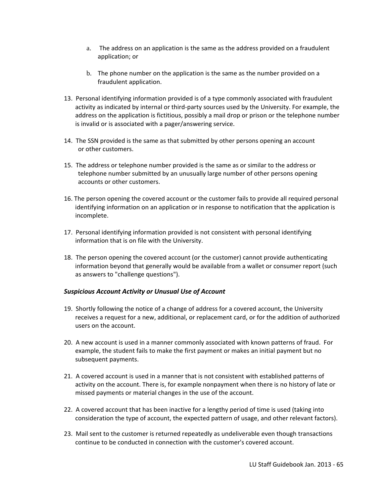- a. The address on an application is the same as the address provided on a fraudulent application; or
- b. The phone number on the application is the same as the number provided on a fraudulent application.
- 13. Personal identifying information provided is of a type commonly associated with fraudulent activity as indicated by internal or third-party sources used by the University. For example, the address on the application is fictitious, possibly a mail drop or prison or the telephone number is invalid or is associated with a pager/answering service.
- 14. The SSN provided is the same as that submitted by other persons opening an account or other customers.
- 15. The address or telephone number provided is the same as or similar to the address or telephone number submitted by an unusually large number of other persons opening accounts or other customers.
- 16. The person opening the covered account or the customer fails to provide all required personal identifying information on an application or in response to notification that the application is incomplete.
- 17. Personal identifying information provided is not consistent with personal identifying information that is on file with the University.
- 18. The person opening the covered account (or the customer) cannot provide authenticating information beyond that generally would be available from a wallet or consumer report (such as answers to "challenge questions").

### *Suspicious Account Activity or Unusual Use of Account*

- 19. Shortly following the notice of a change of address for a covered account, the University receives a request for a new, additional, or replacement card, or for the addition of authorized users on the account.
- 20. A new account is used in a manner commonly associated with known patterns of fraud. For example, the student fails to make the first payment or makes an initial payment but no subsequent payments.
- 21. A covered account is used in a manner that is not consistent with established patterns of activity on the account. There is, for example nonpayment when there is no history of late or missed payments or material changes in the use of the account.
- 22. A covered account that has been inactive for a lengthy period of time is used (taking into consideration the type of account, the expected pattern of usage, and other relevant factors).
- 23. Mail sent to the customer is returned repeatedly as undeliverable even though transactions continue to be conducted in connection with the customer's covered account.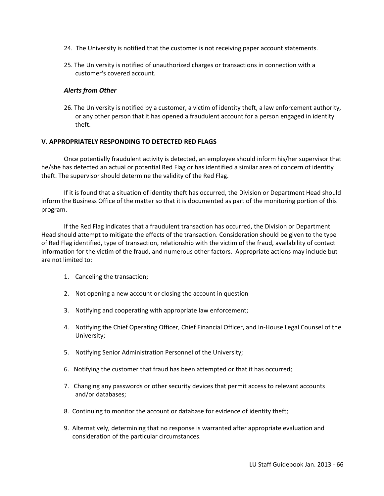- 24. The University is notified that the customer is not receiving paper account statements.
- 25. The University is notified of unauthorized charges or transactions in connection with a customer's covered account.

### *Alerts from Other*

26. The University is notified by a customer, a victim of identity theft, a law enforcement authority, or any other person that it has opened a fraudulent account for a person engaged in identity theft.

### **V. APPROPRIATELY RESPONDING TO DETECTED RED FLAGS**

Once potentially fraudulent activity is detected, an employee should inform his/her supervisor that he/she has detected an actual or potential Red Flag or has identified a similar area of concern of identity theft. The supervisor should determine the validity of the Red Flag.

If it is found that a situation of identity theft has occurred, the Division or Department Head should inform the Business Office of the matter so that it is documented as part of the monitoring portion of this program.

If the Red Flag indicates that a fraudulent transaction has occurred, the Division or Department Head should attempt to mitigate the effects of the transaction. Consideration should be given to the type of Red Flag identified, type of transaction, relationship with the victim of the fraud, availability of contact information for the victim of the fraud, and numerous other factors. Appropriate actions may include but are not limited to:

- 1. Canceling the transaction;
- 2. Not opening a new account or closing the account in question
- 3. Notifying and cooperating with appropriate law enforcement;
- 4. Notifying the Chief Operating Officer, Chief Financial Officer, and In‐House Legal Counsel of the University;
- 5. Notifying Senior Administration Personnel of the University;
- 6. Notifying the customer that fraud has been attempted or that it has occurred;
- 7. Changing any passwords or other security devices that permit access to relevant accounts and/or databases;
- 8. Continuing to monitor the account or database for evidence of identity theft;
- 9. Alternatively, determining that no response is warranted after appropriate evaluation and consideration of the particular circumstances.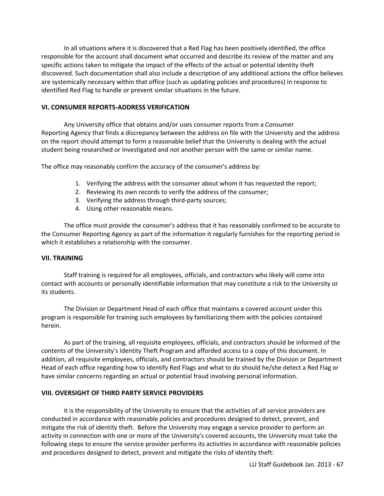In all situations where it is discovered that a Red Flag has been positively identified, the office responsible for the account shall document what occurred and describe its review of the matter and any specific actions taken to mitigate the impact of the effects of the actual or potential identity theft discovered. Such documentation shall also include a description of any additional actions the office believes are systemically necessary within that office (such as updating policies and procedures) in response to identified Red Flag to handle or prevent similar situations in the future.

### **VI. CONSUMER REPORTS‐ADDRESS VERIFICATION**

Any University office that obtains and/or uses consumer reports from a Consumer Reporting Agency that finds a discrepancy between the address on file with the University and the address on the report should attempt to form a reasonable belief that the University is dealing with the actual student being researched or investigated and not another person with the same or similar name.

The office may reasonably confirm the accuracy of the consumer's address by:

- 1. Verifying the address with the consumer about whom it has requested the report;
- 2. Reviewing its own records to verify the address of the consumer;
- 3. Verifying the address through third‐party sources;
- 4. Using other reasonable means.

The office must provide the consumer's address that it has reasonably confirmed to be accurate to the Consumer Reporting Agency as part of the information it regularly furnishes for the reporting period in which it establishes a relationship with the consumer.

### **VII. TRAINING**

Staff training is required for all employees, officials, and contractors who likely will come into contact with accounts or personally identifiable information that may constitute a risk to the University or its students.

The Division or Department Head of each office that maintains a covered account under this program is responsible for training such employees by familiarizing them with the policies contained herein.

As part of the training, all requisite employees, officials, and contractors should be informed of the contents of the University's Identity Theft Program and afforded access to a copy of this document. In addition, all requisite employees, officials, and contractors should be trained by the Division or Department Head of each office regarding how to identify Red Flags and what to do should he/she detect a Red Flag or have similar concerns regarding an actual or potential fraud involving personal information.

### **VIII. OVERSIGHT OF THIRD PARTY SERVICE PROVIDERS**

It is the responsibility of the University to ensure that the activities of all service providers are conducted in accordance with reasonable policies and procedures designed to detect, prevent, and mitigate the risk of identity theft. Before the University may engage a service provider to perform an activity in connection with one or more of the University's covered accounts, the University must take the following steps to ensure the service provider performs its activities in accordance with reasonable policies and procedures designed to detect, prevent and mitigate the risks of identity theft: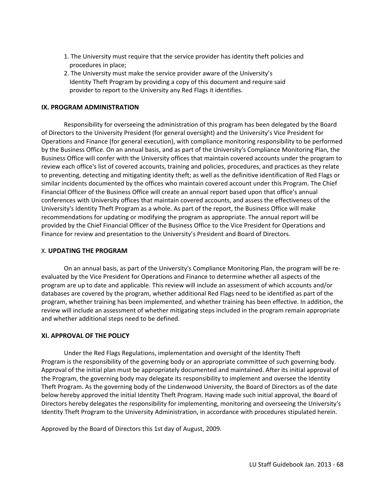- 1. The University must require that the service provider has identity theft policies and procedures in place;
- 2. The University must make the service provider aware of the University's Identity Theft Program by providing a copy of this document and require said provider to report to the University any Red Flags it identifies.

### **IX. PROGRAM ADMINISTRATION**

Responsibility for overseeing the administration of this program has been delegated by the Board of Directors to the University President (for general oversight) and the University's Vice President for Operations and Finance (for general execution), with compliance monitoring responsibility to be performed by the Business Office. On an annual basis, and as part of the University's Compliance Monitoring Plan, the Business Office will confer with the University offices that maintain covered accounts under the program to review each office's list of covered accounts, training and policies, procedures, and practices as they relate to preventing, detecting and mitigating identity theft; as well as the definitive identification of Red Flags or similar incidents documented by the offices who maintain covered account under this Program. The Chief Financial Officer of the Business Office will create an annual report based upon that office's annual conferences with University offices that maintain covered accounts, and assess the effectiveness of the University's Identity Theft Program as a whole. As part of the report, the Business Office will make recommendations for updating or modifying the program as appropriate. The annual report will be provided by the Chief Financial Officer of the Business Office to the Vice President for Operations and Finance for review and presentation to the University's President and Board of Directors.

#### X. **UPDATING THE PROGRAM**

On an annual basis, as part of the University's Compliance Monitoring Plan, the program will be re‐ evaluated by the Vice President for Operations and Finance to determine whether all aspects of the program are up to date and applicable. This review will include an assessment of which accounts and/or databases are covered by the program, whether additional Red Flags need to be identified as part of the program, whether training has been implemented, and whether training has been effective. In addition, the review will include an assessment of whether mitigating steps included in the program remain appropriate and whether additional steps need to be defined.

### **XI. APPROVAL OF THE POLICY**

Under the Red Flags Regulations, implementation and oversight of the Identity Theft Program is the responsibility of the governing body or an appropriate committee of such governing body. Approval of the initial plan must be appropriately documented and maintained. After its initial approval of the Program, the governing body may delegate its responsibility to implement and oversee the Identity Theft Program. As the governing body of the Lindenwood University, the Board of Directors as of the date below hereby approved the initial Identity Theft Program. Having made such initial approval, the Board of Directors hereby delegates the responsibility for implementing, monitoring and overseeing the University's Identity Theft Program to the University Administration, in accordance with procedures stipulated herein.

Approved by the Board of Directors this 1st day of August, 2009.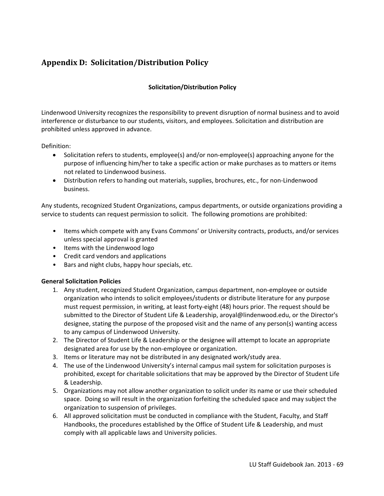# **Appendix D: Solicitation/Distribution Policy**

### **Solicitation/Distribution Policy**

Lindenwood University recognizes the responsibility to prevent disruption of normal business and to avoid interference or disturbance to our students, visitors, and employees. Solicitation and distribution are prohibited unless approved in advance.

Definition:

- Solicitation refers to students, employee(s) and/or non-employee(s) approaching anyone for the purpose of influencing him/her to take a specific action or make purchases as to matters or items not related to Lindenwood business.
- Distribution refers to handing out materials, supplies, brochures, etc., for non-Lindenwood business.

Any students, recognized Student Organizations, campus departments, or outside organizations providing a service to students can request permission to solicit. The following promotions are prohibited:

- Items which compete with any Evans Commons' or University contracts, products, and/or services unless special approval is granted
- Items with the Lindenwood logo
- Credit card vendors and applications
- Bars and night clubs, happy hour specials, etc.

### **General Solicitation Policies**

- 1. Any student, recognized Student Organization, campus department, non‐employee or outside organization who intends to solicit employees/students or distribute literature for any purpose must request permission, in writing, at least forty‐eight (48) hours prior. The request should be submitted to the Director of Student Life & Leadership, aroyal@lindenwood.edu, or the Director's designee, stating the purpose of the proposed visit and the name of any person(s) wanting access to any campus of Lindenwood University.
- 2. The Director of Student Life & Leadership or the designee will attempt to locate an appropriate designated area for use by the non‐employee or organization.
- 3. Items or literature may not be distributed in any designated work/study area.
- 4. The use of the Lindenwood University's internal campus mail system for solicitation purposes is prohibited, except for charitable solicitations that may be approved by the Director of Student Life & Leadership.
- 5. Organizations may not allow another organization to solicit under its name or use their scheduled space. Doing so will result in the organization forfeiting the scheduled space and may subject the organization to suspension of privileges.
- 6. All approved solicitation must be conducted in compliance with the Student, Faculty, and Staff Handbooks, the procedures established by the Office of Student Life & Leadership, and must comply with all applicable laws and University policies.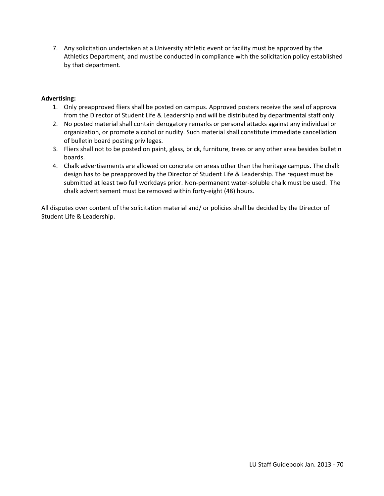7. Any solicitation undertaken at a University athletic event or facility must be approved by the Athletics Department, and must be conducted in compliance with the solicitation policy established by that department.

### **Advertising:**

- 1. Only preapproved fliers shall be posted on campus. Approved posters receive the seal of approval from the Director of Student Life & Leadership and will be distributed by departmental staff only.
- 2. No posted material shall contain derogatory remarks or personal attacks against any individual or organization, or promote alcohol or nudity. Such material shall constitute immediate cancellation of bulletin board posting privileges.
- 3. Fliers shall not to be posted on paint, glass, brick, furniture, trees or any other area besides bulletin boards.
- 4. Chalk advertisements are allowed on concrete on areas other than the heritage campus. The chalk design has to be preapproved by the Director of Student Life & Leadership. The request must be submitted at least two full workdays prior. Non‐permanent water‐soluble chalk must be used. The chalk advertisement must be removed within forty‐eight (48) hours.

All disputes over content of the solicitation material and/ or policies shall be decided by the Director of Student Life & Leadership.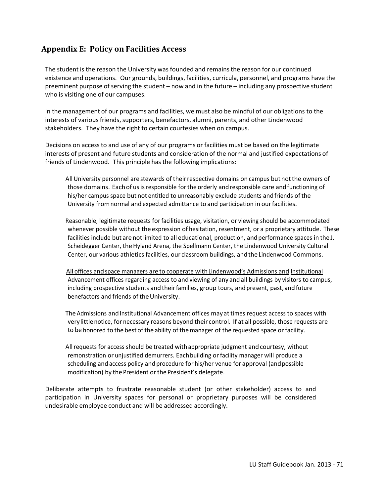## **Appendix E: Policy on Facilities Access**

The student is the reason the University was founded and remainsthe reason for our continued existence and operations. Our grounds, buildings, facilities, curricula, personnel, and programs have the preeminent purpose of serving the student – now and in the future – including any prospective student who is visiting one of our campuses.

In the management of our programs and facilities, we must also be mindful of our obligations to the interests of various friends, supporters, benefactors, alumni, parents, and other Lindenwood stakeholders. They have the right to certain courtesies when on campus.

Decisions on access to and use of any of our programs or facilities must be based on the legitimate interests of present and future students and consideration of the normal and justified expectations of friends of Lindenwood. This principle has the following implications:

 All University personnel are stewards of theirrespective domains on campus butnotthe owners of those domains. Eachof usisresponsible forthe orderly andresponsible care andfunctioning of his/her campus space but not entitled to unreasonably exclude students andfriends of the University fromnormal and expected admittance to and participation in ourfacilities.

 Reasonable, legitimate requests forfacilities usage, visitation, or viewing should be accommodated whenever possible without the expression of hesitation, resentment, or a proprietary attitude. These facilities include but are not limited to all educational, production, and performance spaces in the J. Scheidegger Center, theHyland Arena, the Spellmann Center, the Lindenwood University Cultural Center, our various athletics facilities, our classroom buildings, andthe Lindenwood Commons.

All offices and space managers are to cooperate with Lindenwood's Admissions and Institutional Advancement offices regarding access to andviewing of any andall buildings by visitors to campus, including prospective students and their families, group tours, and present, past, and future benefactors and friends of the University.

The Admissions and Institutional Advancement offices may at times request access to spaces with verylittlenotice, for necessary reasons beyond their control. If at all possible, those requests are to be honored to the bestof the ability of themanager of the requested space or facility.

 Allrequests for access should be treated withappropriate judgment andcourtesy, without remonstration or unjustified demurrers. Eachbuilding orfacility manager will produce a scheduling andaccess policy and procedure for his/her venue for approval (andpossible modification) by the President or the President's delegate.

Deliberate attempts to frustrate reasonable student (or other stakeholder) access to and participation in University spaces for personal or proprietary purposes will be considered undesirable employee conduct and will be addressed accordingly.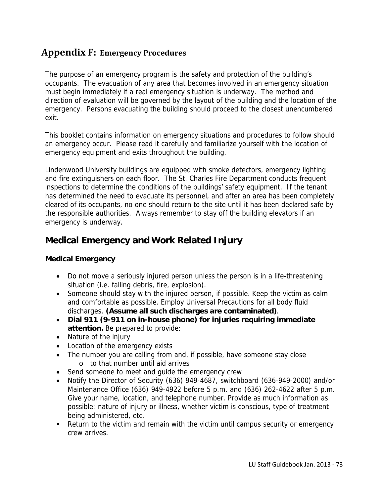# **Appendix F: Emergency Procedures**

The purpose of an emergency program is the safety and protection of the building's occupants. The evacuation of any area that becomes involved in an emergency situation must begin immediately if a real emergency situation is underway. The method and direction of evaluation will be governed by the layout of the building and the location of the emergency. Persons evacuating the building should proceed to the closest unencumbered exit.

This booklet contains information on emergency situations and procedures to follow should an emergency occur. Please read it carefully and familiarize yourself with the location of emergency equipment and exits throughout the building.

Lindenwood University buildings are equipped with smoke detectors, emergency lighting and fire extinguishers on each floor. The St. Charles Fire Department conducts frequent inspections to determine the conditions of the buildings' safety equipment. If the tenant has determined the need to evacuate its personnel, and after an area has been completely cleared of its occupants, no one should return to the site until it has been declared safe by the responsible authorities. Always remember to stay off the building elevators if an emergency is underway.

# **Medical Emergency and Work Related Injury**

#### **Medical Emergency**

- Do not move a seriously injured person unless the person is in a life-threatening situation (i.e. falling debris, fire, explosion).
- Someone should stay with the injured person, if possible. Keep the victim as calm and comfortable as possible. Employ Universal Precautions for all body fluid discharges. **(Assume all such discharges are contaminated)**.
- **Dial 911 (9-911 on in-house phone) for injuries requiring immediate attention.** Be prepared to provide:
- Nature of the injury
- Location of the emergency exists
- The number you are calling from and, if possible, have someone stay close o to that number until aid arrives
- Send someone to meet and guide the emergency crew
- Notify the Director of Security (636) 949-4687, switchboard (636-949-2000) and/or Maintenance Office (636) 949-4922 before 5 p.m. and (636) 262-4622 after 5 p.m. Give your name, location, and telephone number. Provide as much information as possible: nature of injury or illness, whether victim is conscious, type of treatment being administered, etc.
- Return to the victim and remain with the victim until campus security or emergency crew arrives.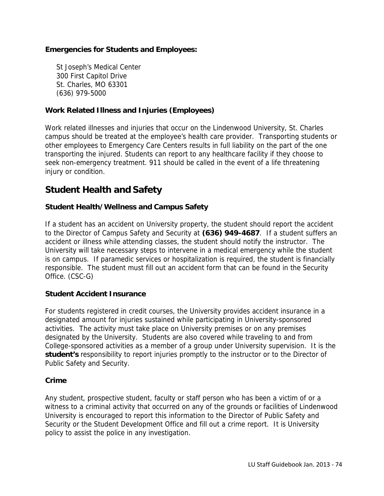#### **Emergencies for Students and Employees:**

St Joseph's Medical Center 300 First Capitol Drive St. Charles, MO 63301 (636) 979-5000

#### **Work Related Illness and Injuries (Employees)**

Work related illnesses and injuries that occur on the Lindenwood University, St. Charles campus should be treated at the employee's health care provider. Transporting students or other employees to Emergency Care Centers results in full liability on the part of the one transporting the injured. Students can report to any healthcare facility if they choose to seek non-emergency treatment. 911 should be called in the event of a life threatening injury or condition.

# **Student Health and Safety**

#### **Student Health/Wellness and Campus Safety**

If a student has an accident on University property, the student should report the accident to the Director of Campus Safety and Security at **(636) 949-4687**. If a student suffers an accident or illness while attending classes, the student should notify the instructor. The University will take necessary steps to intervene in a medical emergency while the student is on campus. If paramedic services or hospitalization is required, the student is financially responsible. The student must fill out an accident form that can be found in the Security Office. (CSC-G)

#### **Student Accident Insurance**

For students registered in credit courses, the University provides accident insurance in a designated amount for injuries sustained while participating in University-sponsored activities. The activity must take place on University premises or on any premises designated by the University. Students are also covered while traveling to and from College-sponsored activities as a member of a group under University supervision. It is the **student's** responsibility to report injuries promptly to the instructor or to the Director of Public Safety and Security.

#### **Crime**

Any student, prospective student, faculty or staff person who has been a victim of or a witness to a criminal activity that occurred on any of the grounds or facilities of Lindenwood University is encouraged to report this information to the Director of Public Safety and Security or the Student Development Office and fill out a crime report. It is University policy to assist the police in any investigation.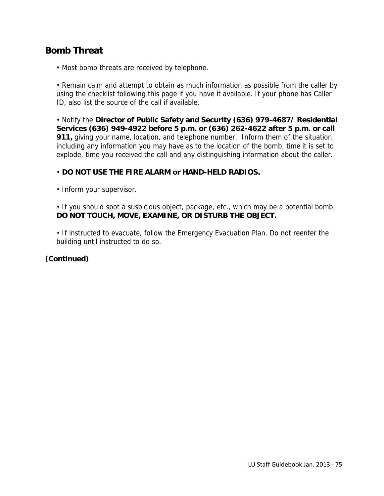# **Bomb Threat**

• Most bomb threats are received by telephone.

• Remain calm and attempt to obtain as much information as possible from the caller by using the checklist following this page if you have it available. If your phone has Caller ID, also list the source of the call if available.

• Notify the **Director of Public Safety and Security (636) 979-4687/ Residential Services (636) 949-4922 before 5 p.m. or (636) 262-4622 after 5 p.m. or call 911,** giving your name, location, and telephone number. Inform them of the situation, including any information you may have as to the location of the bomb, time it is set to explode, time you received the call and any distinguishing information about the caller.

#### • **DO NOT USE THE FIRE ALARM or HAND-HELD RADIOS.**

• Inform your supervisor.

• If you should spot a suspicious object, package, etc., which may be a potential bomb, **DO NOT TOUCH, MOVE, EXAMINE, OR DISTURB THE OBJECT.**

• If instructed to evacuate, follow the Emergency Evacuation Plan. Do not reenter the building until instructed to do so.

#### **(Continued)**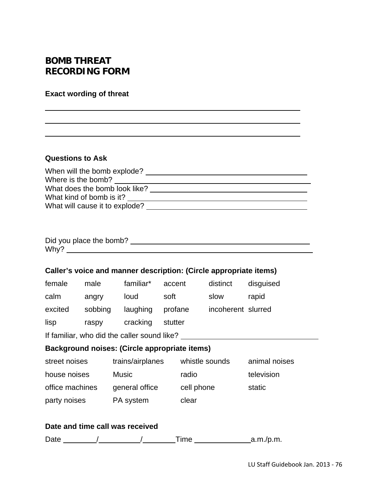# **BOMB THREAT RECORDING FORM**

## **Exact wording of threat**

#### **Questions to Ask**

| When will the bomb explode?    |  |
|--------------------------------|--|
| Where is the bomb?             |  |
| What does the bomb look like?  |  |
| What kind of bomb is it?       |  |
| What will cause it to explode? |  |
|                                |  |

| Did you place the bomb? |  |
|-------------------------|--|
| Why?                    |  |

### **Caller's voice and manner description: (Circle appropriate items)**

| female                                        | male    | familiar*        | accent  |                | distinct           | disguised     |  |  |  |
|-----------------------------------------------|---------|------------------|---------|----------------|--------------------|---------------|--|--|--|
| calm                                          | angry   | loud             | soft    |                | slow               | rapid         |  |  |  |
| excited                                       | sobbing | laughing         | profane |                | incoherent slurred |               |  |  |  |
| lisp                                          | raspy   | cracking         | stutter |                |                    |               |  |  |  |
| If familiar, who did the caller sound like?   |         |                  |         |                |                    |               |  |  |  |
| Background noises: (Circle appropriate items) |         |                  |         |                |                    |               |  |  |  |
| street noises                                 |         | trains/airplanes |         | whistle sounds |                    | animal noises |  |  |  |
| house noises                                  |         | <b>Music</b>     |         | radio          |                    | television    |  |  |  |
| office machines                               |         | general office   |         | cell phone     |                    | static        |  |  |  |
| party noises                                  |         | PA system        |         | clear          |                    |               |  |  |  |
|                                               |         |                  |         |                |                    |               |  |  |  |

## **Date and time call was received**

Date / / Time a.m./p.m.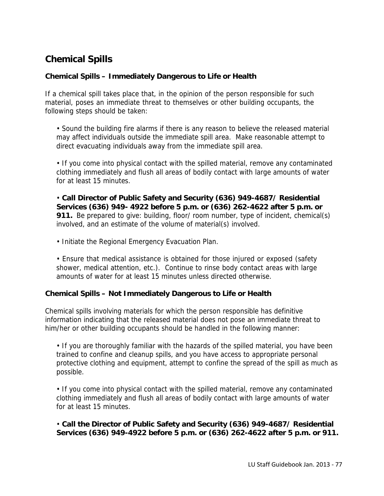# **Chemical Spills**

### **Chemical Spills – Immediately Dangerous to Life or Health**

If a chemical spill takes place that, in the opinion of the person responsible for such material, poses an immediate threat to themselves or other building occupants, the following steps should be taken:

• Sound the building fire alarms if there is any reason to believe the released material may affect individuals outside the immediate spill area. Make reasonable attempt to direct evacuating individuals away from the immediate spill area.

• If you come into physical contact with the spilled material, remove any contaminated clothing immediately and flush all areas of bodily contact with large amounts of water for at least 15 minutes.

• **Call Director of Public Safety and Security (636) 949-4687/ Residential Services (636) 949- 4922 before 5 p.m. or (636) 262-4622 after 5 p.m. or 911.** Be prepared to give: building, floor/ room number, type of incident, chemical(s) involved, and an estimate of the volume of material(s) involved.

• Initiate the Regional Emergency Evacuation Plan.

• Ensure that medical assistance is obtained for those injured or exposed (safety shower, medical attention, etc.). Continue to rinse body contact areas with large amounts of water for at least 15 minutes unless directed otherwise.

#### **Chemical Spills – Not Immediately Dangerous to Life or Health**

Chemical spills involving materials for which the person responsible has definitive information indicating that the released material does not pose an immediate threat to him/her or other building occupants should be handled in the following manner:

• If you are thoroughly familiar with the hazards of the spilled material, you have been trained to confine and cleanup spills, and you have access to appropriate personal protective clothing and equipment, attempt to confine the spread of the spill as much as possible.

• If you come into physical contact with the spilled material, remove any contaminated clothing immediately and flush all areas of bodily contact with large amounts of water for at least 15 minutes.

#### • **Call the Director of Public Safety and Security (636) 949-4687/ Residential Services (636) 949-4922 before 5 p.m. or (636) 262-4622 after 5 p.m. or 911.**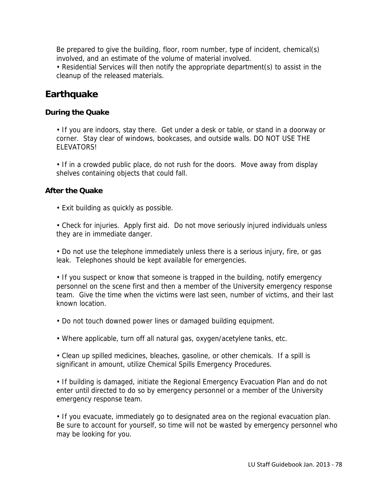Be prepared to give the building, floor, room number, type of incident, chemical(s) involved, and an estimate of the volume of material involved.

• Residential Services will then notify the appropriate department(s) to assist in the cleanup of the released materials.

# **Earthquake**

#### **During the Quake**

• If you are indoors, stay there. Get under a desk or table, or stand in a doorway or corner. Stay clear of windows, bookcases, and outside walls. DO NOT USE THE ELEVATORS!

• If in a crowded public place, do not rush for the doors. Move away from display shelves containing objects that could fall.

#### **After the Quake**

• Exit building as quickly as possible.

• Check for injuries. Apply first aid. Do not move seriously injured individuals unless they are in immediate danger.

• Do not use the telephone immediately unless there is a serious injury, fire, or gas leak. Telephones should be kept available for emergencies.

• If you suspect or know that someone is trapped in the building, notify emergency personnel on the scene first and then a member of the University emergency response team. Give the time when the victims were last seen, number of victims, and their last known location.

• Do not touch downed power lines or damaged building equipment.

• Where applicable, turn off all natural gas, oxygen/acetylene tanks, etc.

• Clean up spilled medicines, bleaches, gasoline, or other chemicals. If a spill is significant in amount, utilize Chemical Spills Emergency Procedures.

• If building is damaged, initiate the Regional Emergency Evacuation Plan and do not enter until directed to do so by emergency personnel or a member of the University emergency response team.

• If you evacuate, immediately go to designated area on the regional evacuation plan. Be sure to account for yourself, so time will not be wasted by emergency personnel who may be looking for you.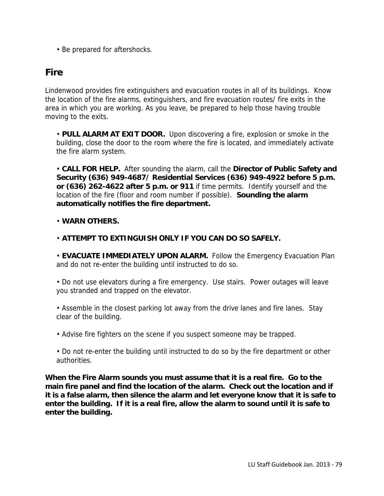• Be prepared for aftershocks.

## **Fire**

Lindenwood provides fire extinguishers and evacuation routes in all of its buildings. Know the location of the fire alarms, extinguishers, and fire evacuation routes/ fire exits in the area in which you are working. As you leave, be prepared to help those having trouble moving to the exits.

• **PULL ALARM AT EXIT DOOR.** Upon discovering a fire, explosion or smoke in the building, close the door to the room where the fire is located, and immediately activate the fire alarm system.

• **CALL FOR HELP.** After sounding the alarm, call the **Director of Public Safety and Security (636) 949-4687/ Residential Services (636) 949-4922 before 5 p.m. or (636) 262-4622 after 5 p.m. or 911** if time permits. Identify yourself and the location of the fire (floor and room number if possible). **Sounding the alarm automatically notifies the fire department.**

#### • **WARN OTHERS.**

• **ATTEMPT TO EXTINGUISH ONLY IF YOU CAN DO SO SAFELY.**

• **EVACUATE IMMEDIATELY UPON ALARM.** Follow the Emergency Evacuation Plan and do not re-enter the building until instructed to do so.

• Do not use elevators during a fire emergency. Use stairs. Power outages will leave you stranded and trapped on the elevator.

• Assemble in the closest parking lot away from the drive lanes and fire lanes. Stay clear of the building.

- Advise fire fighters on the scene if you suspect someone may be trapped.
- Do not re-enter the building until instructed to do so by the fire department or other authorities.

**When the Fire Alarm sounds you must assume that it is a real fire. Go to the main fire panel and find the location of the alarm. Check out the location and if it is a false alarm, then silence the alarm and let everyone know that it is safe to enter the building. If it is a real fire, allow the alarm to sound until it is safe to enter the building.**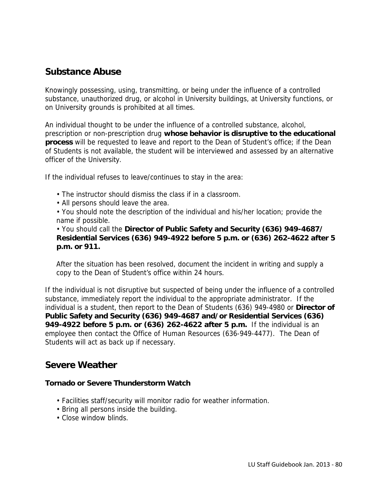# **Substance Abuse**

Knowingly possessing, using, transmitting, or being under the influence of a controlled substance, unauthorized drug, or alcohol in University buildings, at University functions, or on University grounds is prohibited at all times.

An individual thought to be under the influence of a controlled substance, alcohol, prescription or non-prescription drug **whose behavior is disruptive to the educational process** will be requested to leave and report to the Dean of Student's office; if the Dean of Students is not available, the student will be interviewed and assessed by an alternative officer of the University.

If the individual refuses to leave/continues to stay in the area:

- The instructor should dismiss the class if in a classroom.
- All persons should leave the area.

• You should note the description of the individual and his/her location; provide the name if possible.

• You should call the **Director of Public Safety and Security (636) 949-4687/ Residential Services (636) 949-4922 before 5 p.m. or (636) 262-4622 after 5 p.m. or 911.**

After the situation has been resolved, document the incident in writing and supply a copy to the Dean of Student's office within 24 hours.

If the individual is not disruptive but suspected of being under the influence of a controlled substance, immediately report the individual to the appropriate administrator. If the individual is a student, then report to the Dean of Students (636) 949-4980 or **Director of Public Safety and Security (636) 949-4687 and/or Residential Services (636) 949-4922 before 5 p.m. or (636) 262-4622 after 5 p.m.** If the individual is an employee then contact the Office of Human Resources (636-949-4477). The Dean of Students will act as back up if necessary.

## **Severe Weather**

#### **Tornado or Severe Thunderstorm Watch**

- Facilities staff/security will monitor radio for weather information.
- Bring all persons inside the building.
- Close window blinds.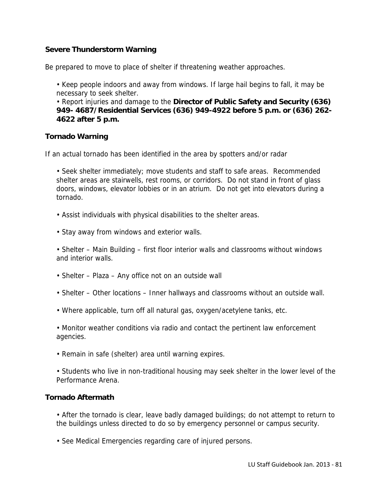#### **Severe Thunderstorm Warning**

Be prepared to move to place of shelter if threatening weather approaches.

• Keep people indoors and away from windows. If large hail begins to fall, it may be necessary to seek shelter.

• Report injuries and damage to the **Director of Public Safety and Security (636) 949- 4687/Residential Services (636) 949-4922 before 5 p.m. or (636) 262- 4622 after 5 p.m.** 

#### **Tornado Warning**

If an actual tornado has been identified in the area by spotters and/or radar

• Seek shelter immediately; move students and staff to safe areas. Recommended shelter areas are stairwells, rest rooms, or corridors. Do not stand in front of glass doors, windows, elevator lobbies or in an atrium. Do not get into elevators during a tornado.

- Assist individuals with physical disabilities to the shelter areas.
- Stay away from windows and exterior walls.

• Shelter – Main Building – first floor interior walls and classrooms without windows and interior walls.

- Shelter Plaza Any office not on an outside wall
- Shelter Other locations Inner hallways and classrooms without an outside wall.
- Where applicable, turn off all natural gas, oxygen/acetylene tanks, etc.

• Monitor weather conditions via radio and contact the pertinent law enforcement agencies.

• Remain in safe (shelter) area until warning expires.

• Students who live in non-traditional housing may seek shelter in the lower level of the Performance Arena.

#### **Tornado Aftermath**

• After the tornado is clear, leave badly damaged buildings; do not attempt to return to the buildings unless directed to do so by emergency personnel or campus security.

• See Medical Emergencies regarding care of injured persons.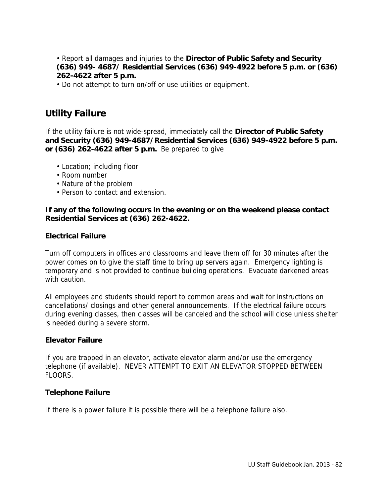• Report all damages and injuries to the **Director of Public Safety and Security (636) 949- 4687/ Residential Services (636) 949-4922 before 5 p.m. or (636) 262-4622 after 5 p.m.**

• Do not attempt to turn on/off or use utilities or equipment.

# **Utility Failure**

If the utility failure is not wide-spread, immediately call the **Director of Public Safety and Security (636) 949-4687/Residential Services (636) 949-4922 before 5 p.m. or (636) 262-4622 after 5 p.m.** Be prepared to give

- Location; including floor
- Room number
- Nature of the problem
- Person to contact and extension.

#### **If any of the following occurs in the evening or on the weekend please contact Residential Services at (636) 262-4622.**

#### **Electrical Failure**

Turn off computers in offices and classrooms and leave them off for 30 minutes after the power comes on to give the staff time to bring up servers again. Emergency lighting is temporary and is not provided to continue building operations. Evacuate darkened areas with caution.

All employees and students should report to common areas and wait for instructions on cancellations/ closings and other general announcements. If the electrical failure occurs during evening classes, then classes will be canceled and the school will close unless shelter is needed during a severe storm.

#### **Elevator Failure**

If you are trapped in an elevator, activate elevator alarm and/or use the emergency telephone (if available). NEVER ATTEMPT TO EXIT AN ELEVATOR STOPPED BETWEEN FLOORS.

#### **Telephone Failure**

If there is a power failure it is possible there will be a telephone failure also.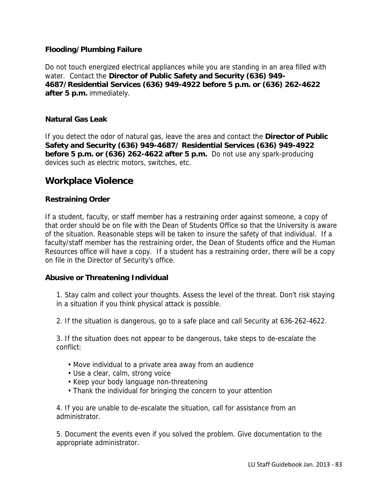#### **Flooding/Plumbing Failure**

Do not touch energized electrical appliances while you are standing in an area filled with water. Contact the **Director of Public Safety and Security (636) 949- 4687/Residential Services (636) 949-4922 before 5 p.m. or (636) 262-4622 after 5 p.m.** immediately.

#### **Natural Gas Leak**

If you detect the odor of natural gas, leave the area and contact the **Director of Public Safety and Security (636) 949-4687/ Residential Services (636) 949-4922 before 5 p.m. or (636) 262-4622 after 5 p.m.** Do not use any spark-producing devices such as electric motors, switches, etc.

## **Workplace Violence**

#### **Restraining Order**

If a student, faculty, or staff member has a restraining order against someone, a copy of that order should be on file with the Dean of Students Office so that the University is aware of the situation. Reasonable steps will be taken to insure the safety of that individual. If a faculty/staff member has the restraining order, the Dean of Students office and the Human Resources office will have a copy. If a student has a restraining order, there will be a copy on file in the Director of Security's office.

#### **Abusive or Threatening Individual**

1. Stay calm and collect your thoughts. Assess the level of the threat. Don't risk staying in a situation if you think physical attack is possible.

2. If the situation is dangerous, go to a safe place and call Security at 636-262-4622.

3. If the situation does not appear to be dangerous, take steps to de-escalate the conflict:

- Move individual to a private area away from an audience
- Use a clear, calm, strong voice
- Keep your body language non-threatening
- Thank the individual for bringing the concern to your attention

4. If you are unable to de-escalate the situation, call for assistance from an administrator.

5. Document the events even if you solved the problem. Give documentation to the appropriate administrator.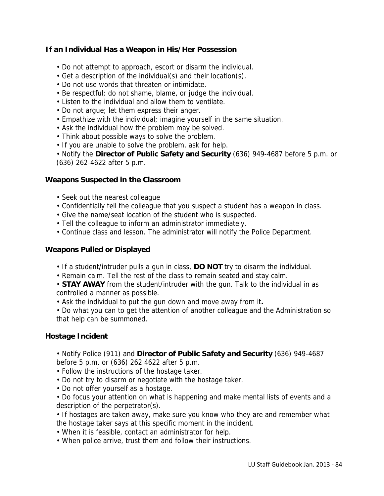#### **If an Individual Has a Weapon in His/Her Possession**

- Do not attempt to approach, escort or disarm the individual.
- Get a description of the individual(s) and their location(s).
- Do not use words that threaten or intimidate.
- Be respectful; do not shame, blame, or judge the individual.
- Listen to the individual and allow them to ventilate.
- Do not argue; let them express their anger.
- Empathize with the individual; imagine yourself in the same situation.
- Ask the individual how the problem may be solved.
- Think about possible ways to solve the problem.
- If you are unable to solve the problem, ask for help.

• Notify the **Director of Public Safety and Security** (636) 949-4687 before 5 p.m. or (636) 262-4622 after 5 p.m.

#### **Weapons Suspected in the Classroom**

- Seek out the nearest colleague
- Confidentially tell the colleague that you suspect a student has a weapon in class.
- Give the name/seat location of the student who is suspected.
- Tell the colleague to inform an administrator immediately.
- Continue class and lesson. The administrator will notify the Police Department.

#### **Weapons Pulled or Displayed**

- If a student/intruder pulls a gun in class, **DO NOT** try to disarm the individual.
- Remain calm. Tell the rest of the class to remain seated and stay calm.
- **STAY AWAY** from the student/intruder with the gun. Talk to the individual in as controlled a manner as possible.
- Ask the individual to put the gun down and move away from it**.**
- Do what you can to get the attention of another colleague and the Administration so that help can be summoned.

#### **Hostage Incident**

- Notify Police (911) and **Director of Public Safety and Security** (636) 949-4687 before 5 p.m. or (636) 262 4622 after 5 p.m.
- Follow the instructions of the hostage taker.
- Do not try to disarm or negotiate with the hostage taker.
- Do not offer yourself as a hostage.

• Do focus your attention on what is happening and make mental lists of events and a description of the perpetrator(s).

- If hostages are taken away, make sure you know who they are and remember what the hostage taker says at this specific moment in the incident.
- When it is feasible, contact an administrator for help.
- When police arrive, trust them and follow their instructions.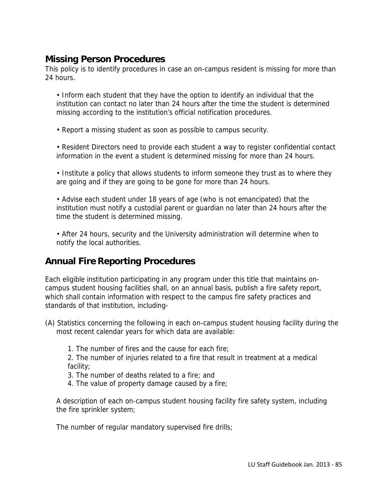# **Missing Person Procedures**

This policy is to identify procedures in case an on-campus resident is missing for more than 24 hours.

• Inform each student that they have the option to identify an individual that the institution can contact no later than 24 hours after the time the student is determined missing according to the institution's official notification procedures.

• Report a missing student as soon as possible to campus security.

• Resident Directors need to provide each student a way to register confidential contact information in the event a student is determined missing for more than 24 hours.

• Institute a policy that allows students to inform someone they trust as to where they are going and if they are going to be gone for more than 24 hours.

• Advise each student under 18 years of age (who is not emancipated) that the institution must notify a custodial parent or guardian no later than 24 hours after the time the student is determined missing.

• After 24 hours, security and the University administration will determine when to notify the local authorities.

# **Annual Fire Reporting Procedures**

Each eligible institution participating in any program under this title that maintains oncampus student housing facilities shall, on an annual basis, publish a fire safety report, which shall contain information with respect to the campus fire safety practices and standards of that institution, including-

(A) Statistics concerning the following in each on-campus student housing facility during the most recent calendar years for which data are available:

1. The number of fires and the cause for each fire;

2. The number of injuries related to a fire that result in treatment at a medical facility;

- 3. The number of deaths related to a fire; and
- 4. The value of property damage caused by a fire;

A description of each on-campus student housing facility fire safety system, including the fire sprinkler system;

The number of regular mandatory supervised fire drills;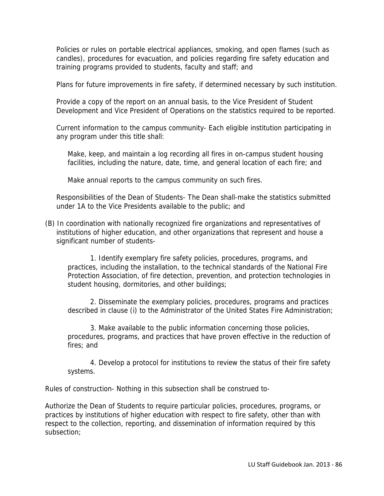Policies or rules on portable electrical appliances, smoking, and open flames (such as candles), procedures for evacuation, and policies regarding fire safety education and training programs provided to students, faculty and staff; and

Plans for future improvements in fire safety, if determined necessary by such institution.

Provide a copy of the report on an annual basis, to the Vice President of Student Development and Vice President of Operations on the statistics required to be reported.

Current information to the campus community- Each eligible institution participating in any program under this title shall:

Make, keep, and maintain a log recording all fires in on-campus student housing facilities, including the nature, date, time, and general location of each fire; and

Make annual reports to the campus community on such fires.

Responsibilities of the Dean of Students- The Dean shall-make the statistics submitted under 1A to the Vice Presidents available to the public; and

(B) In coordination with nationally recognized fire organizations and representatives of institutions of higher education, and other organizations that represent and house a significant number of students-

1. Identify exemplary fire safety policies, procedures, programs, and practices, including the installation, to the technical standards of the National Fire Protection Association, of fire detection, prevention, and protection technologies in student housing, dormitories, and other buildings;

2. Disseminate the exemplary policies, procedures, programs and practices described in clause (i) to the Administrator of the United States Fire Administration;

3. Make available to the public information concerning those policies, procedures, programs, and practices that have proven effective in the reduction of fires; and

4. Develop a protocol for institutions to review the status of their fire safety systems.

Rules of construction- Nothing in this subsection shall be construed to-

Authorize the Dean of Students to require particular policies, procedures, programs, or practices by institutions of higher education with respect to fire safety, other than with respect to the collection, reporting, and dissemination of information required by this subsection;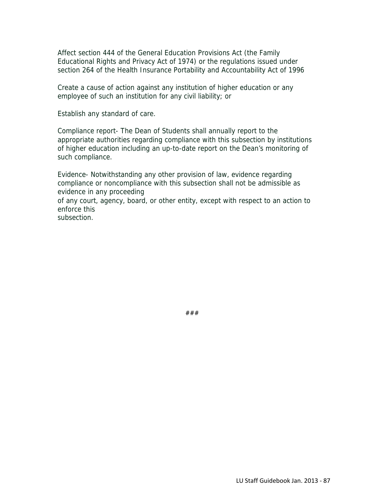Affect section 444 of the General Education Provisions Act (the Family Educational Rights and Privacy Act of 1974) or the regulations issued under section 264 of the Health Insurance Portability and Accountability Act of 1996

Create a cause of action against any institution of higher education or any employee of such an institution for any civil liability; or

Establish any standard of care.

Compliance report- The Dean of Students shall annually report to the appropriate authorities regarding compliance with this subsection by institutions of higher education including an up-to-date report on the Dean's monitoring of such compliance.

Evidence- Notwithstanding any other provision of law, evidence regarding compliance or noncompliance with this subsection shall not be admissible as evidence in any proceeding

of any court, agency, board, or other entity, except with respect to an action to enforce this

subsection.

###